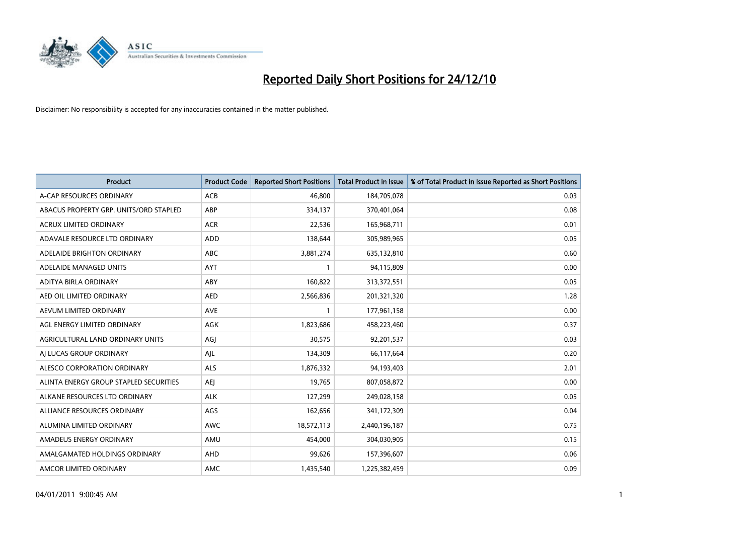

| Product                                | <b>Product Code</b> | <b>Reported Short Positions</b> | <b>Total Product in Issue</b> | % of Total Product in Issue Reported as Short Positions |
|----------------------------------------|---------------------|---------------------------------|-------------------------------|---------------------------------------------------------|
| A-CAP RESOURCES ORDINARY               | ACB                 | 46,800                          | 184,705,078                   | 0.03                                                    |
| ABACUS PROPERTY GRP. UNITS/ORD STAPLED | ABP                 | 334,137                         | 370,401,064                   | 0.08                                                    |
| <b>ACRUX LIMITED ORDINARY</b>          | <b>ACR</b>          | 22,536                          | 165,968,711                   | 0.01                                                    |
| ADAVALE RESOURCE LTD ORDINARY          | <b>ADD</b>          | 138,644                         | 305,989,965                   | 0.05                                                    |
| ADELAIDE BRIGHTON ORDINARY             | <b>ABC</b>          | 3,881,274                       | 635,132,810                   | 0.60                                                    |
| ADELAIDE MANAGED UNITS                 | <b>AYT</b>          | $\mathbf{1}$                    | 94,115,809                    | 0.00                                                    |
| ADITYA BIRLA ORDINARY                  | ABY                 | 160,822                         | 313,372,551                   | 0.05                                                    |
| AED OIL LIMITED ORDINARY               | <b>AED</b>          | 2,566,836                       | 201,321,320                   | 1.28                                                    |
| AEVUM LIMITED ORDINARY                 | <b>AVE</b>          | 1                               | 177,961,158                   | 0.00                                                    |
| AGL ENERGY LIMITED ORDINARY            | <b>AGK</b>          | 1,823,686                       | 458,223,460                   | 0.37                                                    |
| AGRICULTURAL LAND ORDINARY UNITS       | AGJ                 | 30,575                          | 92,201,537                    | 0.03                                                    |
| AI LUCAS GROUP ORDINARY                | AJL                 | 134,309                         | 66,117,664                    | 0.20                                                    |
| ALESCO CORPORATION ORDINARY            | <b>ALS</b>          | 1,876,332                       | 94,193,403                    | 2.01                                                    |
| ALINTA ENERGY GROUP STAPLED SECURITIES | AEJ                 | 19,765                          | 807,058,872                   | 0.00                                                    |
| ALKANE RESOURCES LTD ORDINARY          | <b>ALK</b>          | 127,299                         | 249,028,158                   | 0.05                                                    |
| ALLIANCE RESOURCES ORDINARY            | AGS                 | 162,656                         | 341,172,309                   | 0.04                                                    |
| ALUMINA LIMITED ORDINARY               | <b>AWC</b>          | 18,572,113                      | 2,440,196,187                 | 0.75                                                    |
| AMADEUS ENERGY ORDINARY                | AMU                 | 454,000                         | 304,030,905                   | 0.15                                                    |
| AMALGAMATED HOLDINGS ORDINARY          | AHD                 | 99,626                          | 157,396,607                   | 0.06                                                    |
| AMCOR LIMITED ORDINARY                 | AMC                 | 1,435,540                       | 1,225,382,459                 | 0.09                                                    |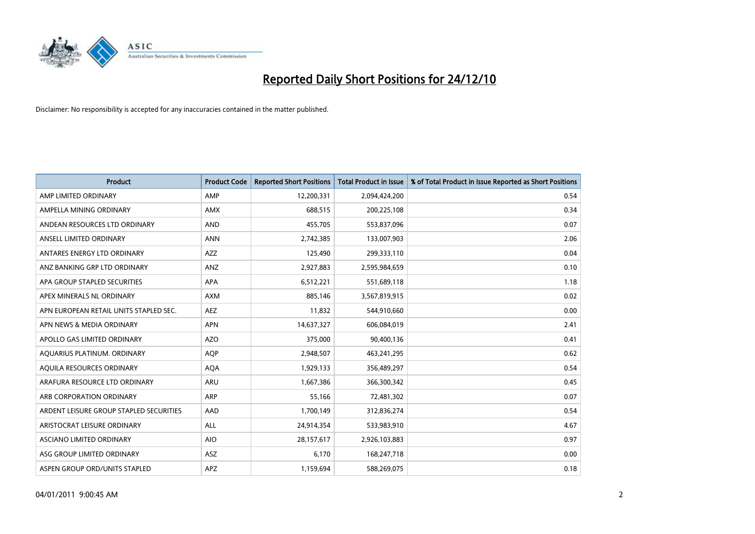

| <b>Product</b>                          | <b>Product Code</b> | <b>Reported Short Positions</b> | <b>Total Product in Issue</b> | % of Total Product in Issue Reported as Short Positions |
|-----------------------------------------|---------------------|---------------------------------|-------------------------------|---------------------------------------------------------|
| AMP LIMITED ORDINARY                    | AMP                 | 12,200,331                      | 2,094,424,200                 | 0.54                                                    |
| AMPELLA MINING ORDINARY                 | <b>AMX</b>          | 688,515                         | 200,225,108                   | 0.34                                                    |
| ANDEAN RESOURCES LTD ORDINARY           | <b>AND</b>          | 455,705                         | 553,837,096                   | 0.07                                                    |
| ANSELL LIMITED ORDINARY                 | <b>ANN</b>          | 2,742,385                       | 133,007,903                   | 2.06                                                    |
| ANTARES ENERGY LTD ORDINARY             | <b>AZZ</b>          | 125,490                         | 299,333,110                   | 0.04                                                    |
| ANZ BANKING GRP LTD ORDINARY            | ANZ                 | 2,927,883                       | 2,595,984,659                 | 0.10                                                    |
| APA GROUP STAPLED SECURITIES            | <b>APA</b>          | 6,512,221                       | 551,689,118                   | 1.18                                                    |
| APEX MINERALS NL ORDINARY               | <b>AXM</b>          | 885,146                         | 3,567,819,915                 | 0.02                                                    |
| APN EUROPEAN RETAIL UNITS STAPLED SEC.  | <b>AEZ</b>          | 11,832                          | 544,910,660                   | 0.00                                                    |
| APN NEWS & MEDIA ORDINARY               | <b>APN</b>          | 14,637,327                      | 606,084,019                   | 2.41                                                    |
| APOLLO GAS LIMITED ORDINARY             | <b>AZO</b>          | 375,000                         | 90,400,136                    | 0.41                                                    |
| AQUARIUS PLATINUM. ORDINARY             | <b>AQP</b>          | 2,948,507                       | 463,241,295                   | 0.62                                                    |
| AQUILA RESOURCES ORDINARY               | <b>AQA</b>          | 1,929,133                       | 356,489,297                   | 0.54                                                    |
| ARAFURA RESOURCE LTD ORDINARY           | <b>ARU</b>          | 1,667,386                       | 366,300,342                   | 0.45                                                    |
| ARB CORPORATION ORDINARY                | ARP                 | 55,166                          | 72,481,302                    | 0.07                                                    |
| ARDENT LEISURE GROUP STAPLED SECURITIES | AAD                 | 1,700,149                       | 312,836,274                   | 0.54                                                    |
| ARISTOCRAT LEISURE ORDINARY             | <b>ALL</b>          | 24,914,354                      | 533,983,910                   | 4.67                                                    |
| ASCIANO LIMITED ORDINARY                | <b>AIO</b>          | 28,157,617                      | 2,926,103,883                 | 0.97                                                    |
| ASG GROUP LIMITED ORDINARY              | ASZ                 | 6,170                           | 168,247,718                   | 0.00                                                    |
| ASPEN GROUP ORD/UNITS STAPLED           | APZ                 | 1,159,694                       | 588,269,075                   | 0.18                                                    |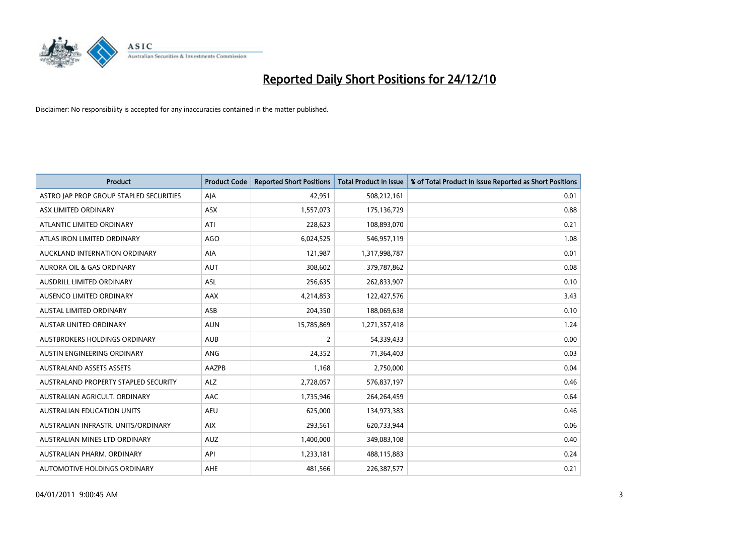

| Product                                 | <b>Product Code</b> | <b>Reported Short Positions</b> | <b>Total Product in Issue</b> | % of Total Product in Issue Reported as Short Positions |
|-----------------------------------------|---------------------|---------------------------------|-------------------------------|---------------------------------------------------------|
| ASTRO JAP PROP GROUP STAPLED SECURITIES | AJA                 | 42,951                          | 508,212,161                   | 0.01                                                    |
| ASX LIMITED ORDINARY                    | ASX                 | 1,557,073                       | 175,136,729                   | 0.88                                                    |
| ATLANTIC LIMITED ORDINARY               | ATI                 | 228,623                         | 108,893,070                   | 0.21                                                    |
| ATLAS IRON LIMITED ORDINARY             | <b>AGO</b>          | 6,024,525                       | 546,957,119                   | 1.08                                                    |
| AUCKLAND INTERNATION ORDINARY           | AIA                 | 121,987                         | 1,317,998,787                 | 0.01                                                    |
| <b>AURORA OIL &amp; GAS ORDINARY</b>    | <b>AUT</b>          | 308,602                         | 379,787,862                   | 0.08                                                    |
| AUSDRILL LIMITED ORDINARY               | ASL                 | 256,635                         | 262,833,907                   | 0.10                                                    |
| AUSENCO LIMITED ORDINARY                | AAX                 | 4,214,853                       | 122,427,576                   | 3.43                                                    |
| <b>AUSTAL LIMITED ORDINARY</b>          | ASB                 | 204,350                         | 188,069,638                   | 0.10                                                    |
| <b>AUSTAR UNITED ORDINARY</b>           | <b>AUN</b>          | 15,785,869                      | 1,271,357,418                 | 1.24                                                    |
| AUSTBROKERS HOLDINGS ORDINARY           | <b>AUB</b>          | $\overline{2}$                  | 54,339,433                    | 0.00                                                    |
| AUSTIN ENGINEERING ORDINARY             | <b>ANG</b>          | 24,352                          | 71,364,403                    | 0.03                                                    |
| <b>AUSTRALAND ASSETS ASSETS</b>         | AAZPB               | 1,168                           | 2,750,000                     | 0.04                                                    |
| AUSTRALAND PROPERTY STAPLED SECURITY    | <b>ALZ</b>          | 2,728,057                       | 576,837,197                   | 0.46                                                    |
| AUSTRALIAN AGRICULT. ORDINARY           | AAC                 | 1,735,946                       | 264,264,459                   | 0.64                                                    |
| <b>AUSTRALIAN EDUCATION UNITS</b>       | <b>AEU</b>          | 625,000                         | 134,973,383                   | 0.46                                                    |
| AUSTRALIAN INFRASTR. UNITS/ORDINARY     | <b>AIX</b>          | 293,561                         | 620,733,944                   | 0.06                                                    |
| AUSTRALIAN MINES LTD ORDINARY           | <b>AUZ</b>          | 1,400,000                       | 349,083,108                   | 0.40                                                    |
| AUSTRALIAN PHARM, ORDINARY              | API                 | 1,233,181                       | 488,115,883                   | 0.24                                                    |
| AUTOMOTIVE HOLDINGS ORDINARY            | <b>AHE</b>          | 481,566                         | 226,387,577                   | 0.21                                                    |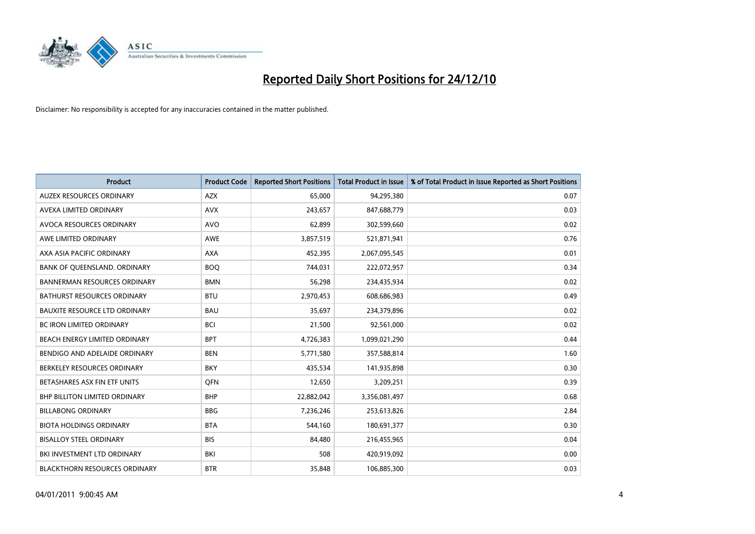

| Product                              | <b>Product Code</b> | <b>Reported Short Positions</b> | <b>Total Product in Issue</b> | % of Total Product in Issue Reported as Short Positions |
|--------------------------------------|---------------------|---------------------------------|-------------------------------|---------------------------------------------------------|
| <b>AUZEX RESOURCES ORDINARY</b>      | AZX                 | 65,000                          | 94,295,380                    | 0.07                                                    |
| AVEXA LIMITED ORDINARY               | <b>AVX</b>          | 243,657                         | 847,688,779                   | 0.03                                                    |
| AVOCA RESOURCES ORDINARY             | <b>AVO</b>          | 62,899                          | 302,599,660                   | 0.02                                                    |
| AWE LIMITED ORDINARY                 | <b>AWE</b>          | 3,857,519                       | 521,871,941                   | 0.76                                                    |
| AXA ASIA PACIFIC ORDINARY            | <b>AXA</b>          | 452,395                         | 2,067,095,545                 | 0.01                                                    |
| BANK OF QUEENSLAND. ORDINARY         | <b>BOO</b>          | 744,031                         | 222,072,957                   | 0.34                                                    |
| <b>BANNERMAN RESOURCES ORDINARY</b>  | <b>BMN</b>          | 56,298                          | 234,435,934                   | 0.02                                                    |
| BATHURST RESOURCES ORDINARY          | <b>BTU</b>          | 2,970,453                       | 608,686,983                   | 0.49                                                    |
| <b>BAUXITE RESOURCE LTD ORDINARY</b> | <b>BAU</b>          | 35,697                          | 234,379,896                   | 0.02                                                    |
| <b>BC IRON LIMITED ORDINARY</b>      | <b>BCI</b>          | 21,500                          | 92,561,000                    | 0.02                                                    |
| BEACH ENERGY LIMITED ORDINARY        | <b>BPT</b>          | 4,726,383                       | 1,099,021,290                 | 0.44                                                    |
| BENDIGO AND ADELAIDE ORDINARY        | <b>BEN</b>          | 5,771,580                       | 357,588,814                   | 1.60                                                    |
| BERKELEY RESOURCES ORDINARY          | <b>BKY</b>          | 435,534                         | 141,935,898                   | 0.30                                                    |
| BETASHARES ASX FIN ETF UNITS         | <b>OFN</b>          | 12,650                          | 3,209,251                     | 0.39                                                    |
| <b>BHP BILLITON LIMITED ORDINARY</b> | <b>BHP</b>          | 22,882,042                      | 3,356,081,497                 | 0.68                                                    |
| <b>BILLABONG ORDINARY</b>            | <b>BBG</b>          | 7,236,246                       | 253,613,826                   | 2.84                                                    |
| <b>BIOTA HOLDINGS ORDINARY</b>       | <b>BTA</b>          | 544,160                         | 180,691,377                   | 0.30                                                    |
| <b>BISALLOY STEEL ORDINARY</b>       | <b>BIS</b>          | 84,480                          | 216,455,965                   | 0.04                                                    |
| BKI INVESTMENT LTD ORDINARY          | BKI                 | 508                             | 420,919,092                   | 0.00                                                    |
| <b>BLACKTHORN RESOURCES ORDINARY</b> | <b>BTR</b>          | 35,848                          | 106,885,300                   | 0.03                                                    |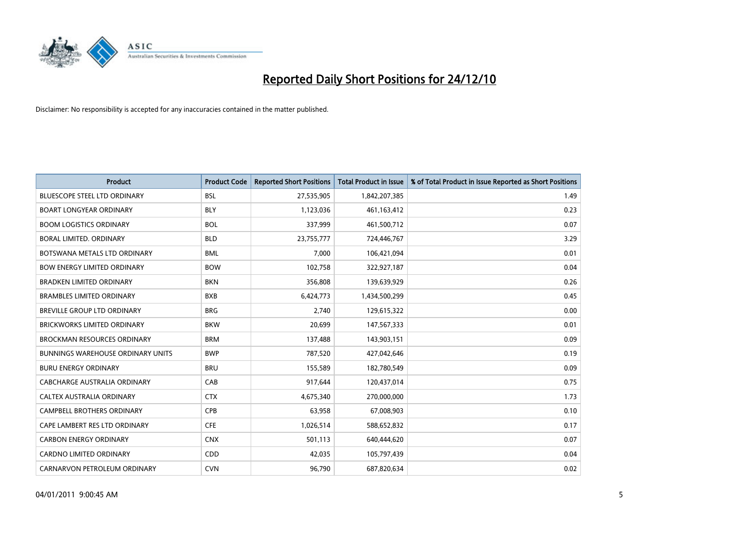

| Product                                  | <b>Product Code</b> | <b>Reported Short Positions</b> | <b>Total Product in Issue</b> | % of Total Product in Issue Reported as Short Positions |
|------------------------------------------|---------------------|---------------------------------|-------------------------------|---------------------------------------------------------|
| <b>BLUESCOPE STEEL LTD ORDINARY</b>      | <b>BSL</b>          | 27,535,905                      | 1,842,207,385                 | 1.49                                                    |
| <b>BOART LONGYEAR ORDINARY</b>           | <b>BLY</b>          | 1,123,036                       | 461,163,412                   | 0.23                                                    |
| <b>BOOM LOGISTICS ORDINARY</b>           | <b>BOL</b>          | 337,999                         | 461,500,712                   | 0.07                                                    |
| <b>BORAL LIMITED, ORDINARY</b>           | <b>BLD</b>          | 23,755,777                      | 724,446,767                   | 3.29                                                    |
| BOTSWANA METALS LTD ORDINARY             | <b>BML</b>          | 7,000                           | 106,421,094                   | 0.01                                                    |
| <b>BOW ENERGY LIMITED ORDINARY</b>       | <b>BOW</b>          | 102,758                         | 322,927,187                   | 0.04                                                    |
| <b>BRADKEN LIMITED ORDINARY</b>          | <b>BKN</b>          | 356,808                         | 139,639,929                   | 0.26                                                    |
| <b>BRAMBLES LIMITED ORDINARY</b>         | <b>BXB</b>          | 6,424,773                       | 1,434,500,299                 | 0.45                                                    |
| BREVILLE GROUP LTD ORDINARY              | <b>BRG</b>          | 2,740                           | 129,615,322                   | 0.00                                                    |
| <b>BRICKWORKS LIMITED ORDINARY</b>       | <b>BKW</b>          | 20,699                          | 147,567,333                   | 0.01                                                    |
| <b>BROCKMAN RESOURCES ORDINARY</b>       | <b>BRM</b>          | 137,488                         | 143,903,151                   | 0.09                                                    |
| <b>BUNNINGS WAREHOUSE ORDINARY UNITS</b> | <b>BWP</b>          | 787,520                         | 427,042,646                   | 0.19                                                    |
| <b>BURU ENERGY ORDINARY</b>              | <b>BRU</b>          | 155,589                         | 182,780,549                   | 0.09                                                    |
| <b>CABCHARGE AUSTRALIA ORDINARY</b>      | CAB                 | 917,644                         | 120,437,014                   | 0.75                                                    |
| CALTEX AUSTRALIA ORDINARY                | <b>CTX</b>          | 4,675,340                       | 270,000,000                   | 1.73                                                    |
| <b>CAMPBELL BROTHERS ORDINARY</b>        | CPB                 | 63,958                          | 67,008,903                    | 0.10                                                    |
| CAPE LAMBERT RES LTD ORDINARY            | <b>CFE</b>          | 1,026,514                       | 588,652,832                   | 0.17                                                    |
| <b>CARBON ENERGY ORDINARY</b>            | <b>CNX</b>          | 501,113                         | 640,444,620                   | 0.07                                                    |
| <b>CARDNO LIMITED ORDINARY</b>           | CDD                 | 42,035                          | 105,797,439                   | 0.04                                                    |
| CARNARVON PETROLEUM ORDINARY             | <b>CVN</b>          | 96,790                          | 687,820,634                   | 0.02                                                    |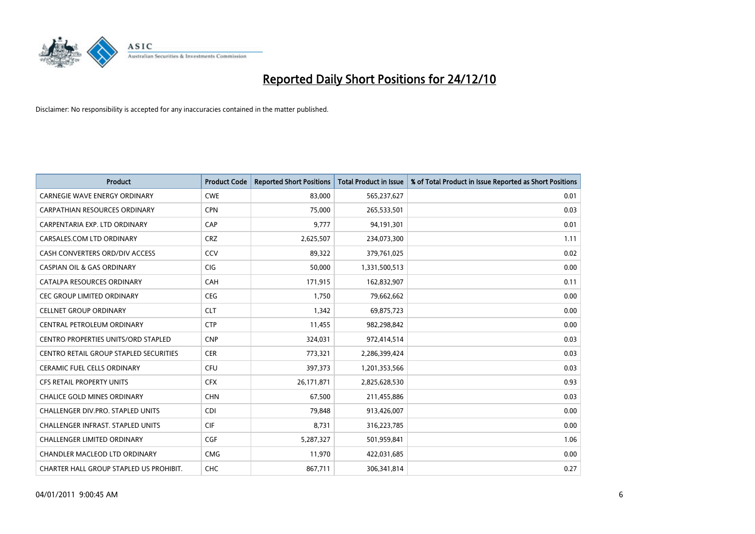

| Product                                 | <b>Product Code</b> | <b>Reported Short Positions</b> | <b>Total Product in Issue</b> | % of Total Product in Issue Reported as Short Positions |
|-----------------------------------------|---------------------|---------------------------------|-------------------------------|---------------------------------------------------------|
| <b>CARNEGIE WAVE ENERGY ORDINARY</b>    | <b>CWE</b>          | 83,000                          | 565,237,627                   | 0.01                                                    |
| CARPATHIAN RESOURCES ORDINARY           | <b>CPN</b>          | 75,000                          | 265,533,501                   | 0.03                                                    |
| CARPENTARIA EXP. LTD ORDINARY           | CAP                 | 9,777                           | 94,191,301                    | 0.01                                                    |
| CARSALES.COM LTD ORDINARY               | <b>CRZ</b>          | 2,625,507                       | 234,073,300                   | 1.11                                                    |
| CASH CONVERTERS ORD/DIV ACCESS          | CCV                 | 89,322                          | 379,761,025                   | 0.02                                                    |
| <b>CASPIAN OIL &amp; GAS ORDINARY</b>   | <b>CIG</b>          | 50,000                          | 1,331,500,513                 | 0.00                                                    |
| CATALPA RESOURCES ORDINARY              | <b>CAH</b>          | 171,915                         | 162,832,907                   | 0.11                                                    |
| CEC GROUP LIMITED ORDINARY              | <b>CEG</b>          | 1,750                           | 79,662,662                    | 0.00                                                    |
| <b>CELLNET GROUP ORDINARY</b>           | <b>CLT</b>          | 1,342                           | 69,875,723                    | 0.00                                                    |
| CENTRAL PETROLEUM ORDINARY              | <b>CTP</b>          | 11,455                          | 982,298,842                   | 0.00                                                    |
| CENTRO PROPERTIES UNITS/ORD STAPLED     | <b>CNP</b>          | 324,031                         | 972,414,514                   | 0.03                                                    |
| CENTRO RETAIL GROUP STAPLED SECURITIES  | <b>CER</b>          | 773,321                         | 2,286,399,424                 | 0.03                                                    |
| CERAMIC FUEL CELLS ORDINARY             | <b>CFU</b>          | 397,373                         | 1,201,353,566                 | 0.03                                                    |
| <b>CFS RETAIL PROPERTY UNITS</b>        | <b>CFX</b>          | 26,171,871                      | 2,825,628,530                 | 0.93                                                    |
| <b>CHALICE GOLD MINES ORDINARY</b>      | <b>CHN</b>          | 67,500                          | 211,455,886                   | 0.03                                                    |
| CHALLENGER DIV.PRO. STAPLED UNITS       | <b>CDI</b>          | 79,848                          | 913,426,007                   | 0.00                                                    |
| CHALLENGER INFRAST. STAPLED UNITS       | <b>CIF</b>          | 8,731                           | 316,223,785                   | 0.00                                                    |
| CHALLENGER LIMITED ORDINARY             | <b>CGF</b>          | 5,287,327                       | 501,959,841                   | 1.06                                                    |
| <b>CHANDLER MACLEOD LTD ORDINARY</b>    | <b>CMG</b>          | 11,970                          | 422,031,685                   | 0.00                                                    |
| CHARTER HALL GROUP STAPLED US PROHIBIT. | <b>CHC</b>          | 867,711                         | 306,341,814                   | 0.27                                                    |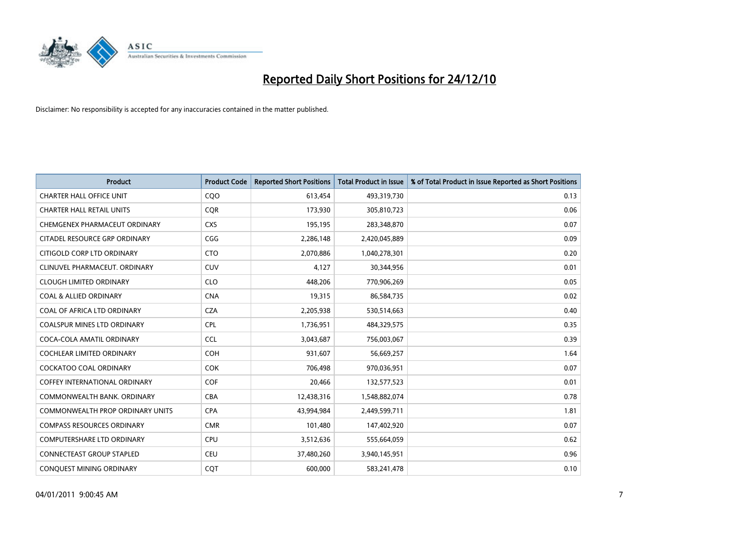

| Product                                 | <b>Product Code</b> | <b>Reported Short Positions</b> | <b>Total Product in Issue</b> | % of Total Product in Issue Reported as Short Positions |
|-----------------------------------------|---------------------|---------------------------------|-------------------------------|---------------------------------------------------------|
| <b>CHARTER HALL OFFICE UNIT</b>         | COO                 | 613,454                         | 493,319,730                   | 0.13                                                    |
| <b>CHARTER HALL RETAIL UNITS</b>        | <b>CQR</b>          | 173,930                         | 305,810,723                   | 0.06                                                    |
| CHEMGENEX PHARMACEUT ORDINARY           | <b>CXS</b>          | 195,195                         | 283,348,870                   | 0.07                                                    |
| CITADEL RESOURCE GRP ORDINARY           | CGG                 | 2,286,148                       | 2,420,045,889                 | 0.09                                                    |
| CITIGOLD CORP LTD ORDINARY              | <b>CTO</b>          | 2,070,886                       | 1,040,278,301                 | 0.20                                                    |
| CLINUVEL PHARMACEUT, ORDINARY           | CUV                 | 4,127                           | 30,344,956                    | 0.01                                                    |
| <b>CLOUGH LIMITED ORDINARY</b>          | <b>CLO</b>          | 448,206                         | 770,906,269                   | 0.05                                                    |
| <b>COAL &amp; ALLIED ORDINARY</b>       | <b>CNA</b>          | 19,315                          | 86,584,735                    | 0.02                                                    |
| COAL OF AFRICA LTD ORDINARY             | <b>CZA</b>          | 2,205,938                       | 530,514,663                   | 0.40                                                    |
| <b>COALSPUR MINES LTD ORDINARY</b>      | <b>CPL</b>          | 1,736,951                       | 484,329,575                   | 0.35                                                    |
| COCA-COLA AMATIL ORDINARY               | <b>CCL</b>          | 3,043,687                       | 756,003,067                   | 0.39                                                    |
| <b>COCHLEAR LIMITED ORDINARY</b>        | <b>COH</b>          | 931,607                         | 56,669,257                    | 1.64                                                    |
| <b>COCKATOO COAL ORDINARY</b>           | <b>COK</b>          | 706,498                         | 970,036,951                   | 0.07                                                    |
| <b>COFFEY INTERNATIONAL ORDINARY</b>    | <b>COF</b>          | 20,466                          | 132,577,523                   | 0.01                                                    |
| COMMONWEALTH BANK, ORDINARY             | <b>CBA</b>          | 12,438,316                      | 1,548,882,074                 | 0.78                                                    |
| <b>COMMONWEALTH PROP ORDINARY UNITS</b> | <b>CPA</b>          | 43,994,984                      | 2,449,599,711                 | 1.81                                                    |
| <b>COMPASS RESOURCES ORDINARY</b>       | <b>CMR</b>          | 101,480                         | 147,402,920                   | 0.07                                                    |
| <b>COMPUTERSHARE LTD ORDINARY</b>       | <b>CPU</b>          | 3,512,636                       | 555,664,059                   | 0.62                                                    |
| <b>CONNECTEAST GROUP STAPLED</b>        | <b>CEU</b>          | 37,480,260                      | 3,940,145,951                 | 0.96                                                    |
| CONQUEST MINING ORDINARY                | CQT                 | 600,000                         | 583,241,478                   | 0.10                                                    |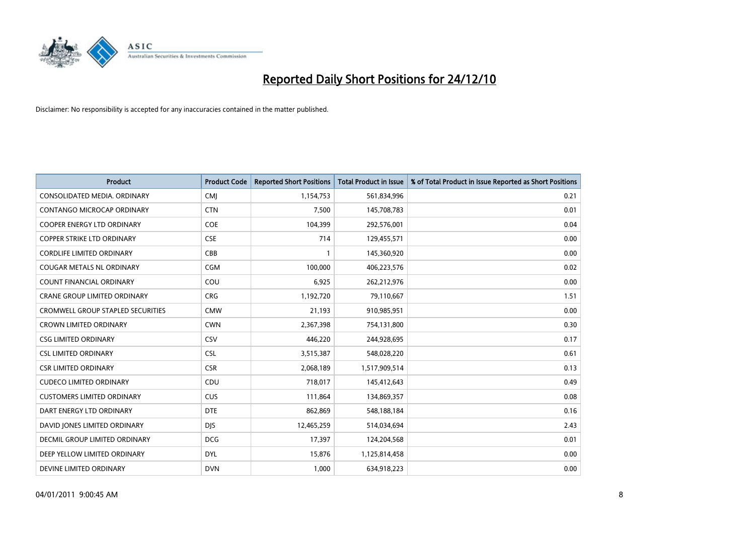

| Product                                  | <b>Product Code</b> | <b>Reported Short Positions</b> | <b>Total Product in Issue</b> | % of Total Product in Issue Reported as Short Positions |
|------------------------------------------|---------------------|---------------------------------|-------------------------------|---------------------------------------------------------|
| CONSOLIDATED MEDIA, ORDINARY             | CMJ                 | 1,154,753                       | 561,834,996                   | 0.21                                                    |
| CONTANGO MICROCAP ORDINARY               | <b>CTN</b>          | 7,500                           | 145,708,783                   | 0.01                                                    |
| COOPER ENERGY LTD ORDINARY               | <b>COE</b>          | 104,399                         | 292,576,001                   | 0.04                                                    |
| <b>COPPER STRIKE LTD ORDINARY</b>        | <b>CSE</b>          | 714                             | 129,455,571                   | 0.00                                                    |
| <b>CORDLIFE LIMITED ORDINARY</b>         | CBB                 | 1                               | 145,360,920                   | 0.00                                                    |
| <b>COUGAR METALS NL ORDINARY</b>         | CGM                 | 100,000                         | 406,223,576                   | 0.02                                                    |
| COUNT FINANCIAL ORDINARY                 | COU                 | 6,925                           | 262,212,976                   | 0.00                                                    |
| CRANE GROUP LIMITED ORDINARY             | <b>CRG</b>          | 1,192,720                       | 79,110,667                    | 1.51                                                    |
| <b>CROMWELL GROUP STAPLED SECURITIES</b> | <b>CMW</b>          | 21,193                          | 910,985,951                   | 0.00                                                    |
| <b>CROWN LIMITED ORDINARY</b>            | <b>CWN</b>          | 2,367,398                       | 754,131,800                   | 0.30                                                    |
| <b>CSG LIMITED ORDINARY</b>              | CSV                 | 446,220                         | 244,928,695                   | 0.17                                                    |
| <b>CSL LIMITED ORDINARY</b>              | <b>CSL</b>          | 3,515,387                       | 548,028,220                   | 0.61                                                    |
| <b>CSR LIMITED ORDINARY</b>              | <b>CSR</b>          | 2,068,189                       | 1,517,909,514                 | 0.13                                                    |
| <b>CUDECO LIMITED ORDINARY</b>           | CDU                 | 718,017                         | 145,412,643                   | 0.49                                                    |
| <b>CUSTOMERS LIMITED ORDINARY</b>        | <b>CUS</b>          | 111,864                         | 134,869,357                   | 0.08                                                    |
| DART ENERGY LTD ORDINARY                 | <b>DTE</b>          | 862,869                         | 548,188,184                   | 0.16                                                    |
| DAVID JONES LIMITED ORDINARY             | <b>DJS</b>          | 12,465,259                      | 514,034,694                   | 2.43                                                    |
| DECMIL GROUP LIMITED ORDINARY            | <b>DCG</b>          | 17,397                          | 124,204,568                   | 0.01                                                    |
| DEEP YELLOW LIMITED ORDINARY             | <b>DYL</b>          | 15,876                          | 1,125,814,458                 | 0.00                                                    |
| DEVINE LIMITED ORDINARY                  | <b>DVN</b>          | 1,000                           | 634,918,223                   | 0.00                                                    |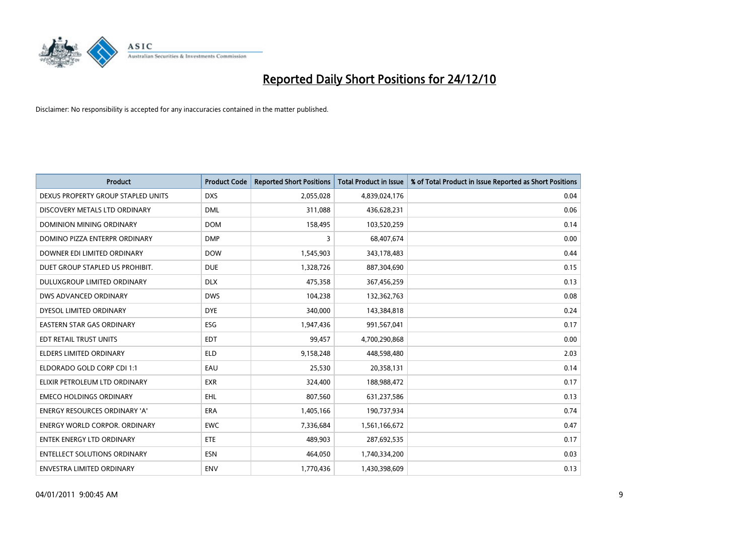

| Product                              | <b>Product Code</b> | <b>Reported Short Positions</b> | <b>Total Product in Issue</b> | % of Total Product in Issue Reported as Short Positions |
|--------------------------------------|---------------------|---------------------------------|-------------------------------|---------------------------------------------------------|
| DEXUS PROPERTY GROUP STAPLED UNITS   | <b>DXS</b>          | 2,055,028                       | 4,839,024,176                 | 0.04                                                    |
| DISCOVERY METALS LTD ORDINARY        | <b>DML</b>          | 311,088                         | 436,628,231                   | 0.06                                                    |
| DOMINION MINING ORDINARY             | <b>DOM</b>          | 158,495                         | 103,520,259                   | 0.14                                                    |
| DOMINO PIZZA ENTERPR ORDINARY        | <b>DMP</b>          | 3                               | 68,407,674                    | 0.00                                                    |
| DOWNER EDI LIMITED ORDINARY          | <b>DOW</b>          | 1,545,903                       | 343,178,483                   | 0.44                                                    |
| DUET GROUP STAPLED US PROHIBIT.      | <b>DUE</b>          | 1,328,726                       | 887,304,690                   | 0.15                                                    |
| <b>DULUXGROUP LIMITED ORDINARY</b>   | <b>DLX</b>          | 475,358                         | 367,456,259                   | 0.13                                                    |
| DWS ADVANCED ORDINARY                | <b>DWS</b>          | 104,238                         | 132,362,763                   | 0.08                                                    |
| DYESOL LIMITED ORDINARY              | <b>DYE</b>          | 340,000                         | 143,384,818                   | 0.24                                                    |
| <b>EASTERN STAR GAS ORDINARY</b>     | <b>ESG</b>          | 1,947,436                       | 991,567,041                   | 0.17                                                    |
| EDT RETAIL TRUST UNITS               | <b>EDT</b>          | 99,457                          | 4,700,290,868                 | 0.00                                                    |
| <b>ELDERS LIMITED ORDINARY</b>       | <b>ELD</b>          | 9,158,248                       | 448,598,480                   | 2.03                                                    |
| ELDORADO GOLD CORP CDI 1:1           | EAU                 | 25,530                          | 20,358,131                    | 0.14                                                    |
| ELIXIR PETROLEUM LTD ORDINARY        | <b>EXR</b>          | 324,400                         | 188,988,472                   | 0.17                                                    |
| <b>EMECO HOLDINGS ORDINARY</b>       | <b>EHL</b>          | 807,560                         | 631,237,586                   | 0.13                                                    |
| ENERGY RESOURCES ORDINARY 'A'        | ERA                 | 1,405,166                       | 190,737,934                   | 0.74                                                    |
| <b>ENERGY WORLD CORPOR. ORDINARY</b> | <b>EWC</b>          | 7,336,684                       | 1,561,166,672                 | 0.47                                                    |
| <b>ENTEK ENERGY LTD ORDINARY</b>     | ETE                 | 489,903                         | 287,692,535                   | 0.17                                                    |
| <b>ENTELLECT SOLUTIONS ORDINARY</b>  | <b>ESN</b>          | 464,050                         | 1,740,334,200                 | 0.03                                                    |
| ENVESTRA LIMITED ORDINARY            | <b>ENV</b>          | 1,770,436                       | 1,430,398,609                 | 0.13                                                    |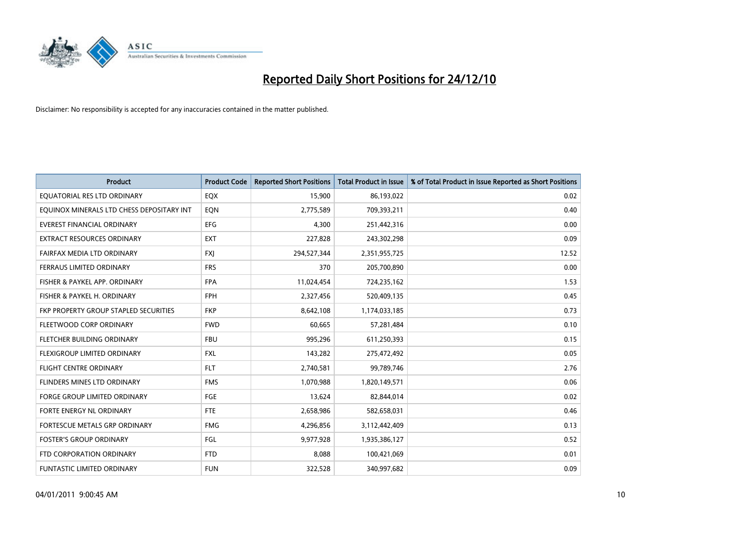

| Product                                   | <b>Product Code</b> | <b>Reported Short Positions</b> | <b>Total Product in Issue</b> | % of Total Product in Issue Reported as Short Positions |
|-------------------------------------------|---------------------|---------------------------------|-------------------------------|---------------------------------------------------------|
| EQUATORIAL RES LTD ORDINARY               | EQX                 | 15,900                          | 86,193,022                    | 0.02                                                    |
| EQUINOX MINERALS LTD CHESS DEPOSITARY INT | EQN                 | 2,775,589                       | 709,393,211                   | 0.40                                                    |
| <b>EVEREST FINANCIAL ORDINARY</b>         | <b>EFG</b>          | 4,300                           | 251,442,316                   | 0.00                                                    |
| <b>EXTRACT RESOURCES ORDINARY</b>         | <b>EXT</b>          | 227,828                         | 243,302,298                   | 0.09                                                    |
| FAIRFAX MEDIA LTD ORDINARY                | <b>FXJ</b>          | 294,527,344                     | 2,351,955,725                 | 12.52                                                   |
| <b>FERRAUS LIMITED ORDINARY</b>           | <b>FRS</b>          | 370                             | 205,700,890                   | 0.00                                                    |
| FISHER & PAYKEL APP. ORDINARY             | <b>FPA</b>          | 11,024,454                      | 724,235,162                   | 1.53                                                    |
| FISHER & PAYKEL H. ORDINARY               | <b>FPH</b>          | 2,327,456                       | 520,409,135                   | 0.45                                                    |
| FKP PROPERTY GROUP STAPLED SECURITIES     | <b>FKP</b>          | 8,642,108                       | 1,174,033,185                 | 0.73                                                    |
| FLEETWOOD CORP ORDINARY                   | <b>FWD</b>          | 60,665                          | 57,281,484                    | 0.10                                                    |
| FLETCHER BUILDING ORDINARY                | <b>FBU</b>          | 995,296                         | 611,250,393                   | 0.15                                                    |
| FLEXIGROUP LIMITED ORDINARY               | FXL                 | 143,282                         | 275,472,492                   | 0.05                                                    |
| <b>FLIGHT CENTRE ORDINARY</b>             | <b>FLT</b>          | 2,740,581                       | 99,789,746                    | 2.76                                                    |
| FLINDERS MINES LTD ORDINARY               | <b>FMS</b>          | 1,070,988                       | 1,820,149,571                 | 0.06                                                    |
| <b>FORGE GROUP LIMITED ORDINARY</b>       | FGE                 | 13,624                          | 82,844,014                    | 0.02                                                    |
| FORTE ENERGY NL ORDINARY                  | FTE                 | 2,658,986                       | 582,658,031                   | 0.46                                                    |
| FORTESCUE METALS GRP ORDINARY             | <b>FMG</b>          | 4,296,856                       | 3,112,442,409                 | 0.13                                                    |
| <b>FOSTER'S GROUP ORDINARY</b>            | FGL                 | 9,977,928                       | 1,935,386,127                 | 0.52                                                    |
| FTD CORPORATION ORDINARY                  | <b>FTD</b>          | 8,088                           | 100,421,069                   | 0.01                                                    |
| <b>FUNTASTIC LIMITED ORDINARY</b>         | <b>FUN</b>          | 322,528                         | 340,997,682                   | 0.09                                                    |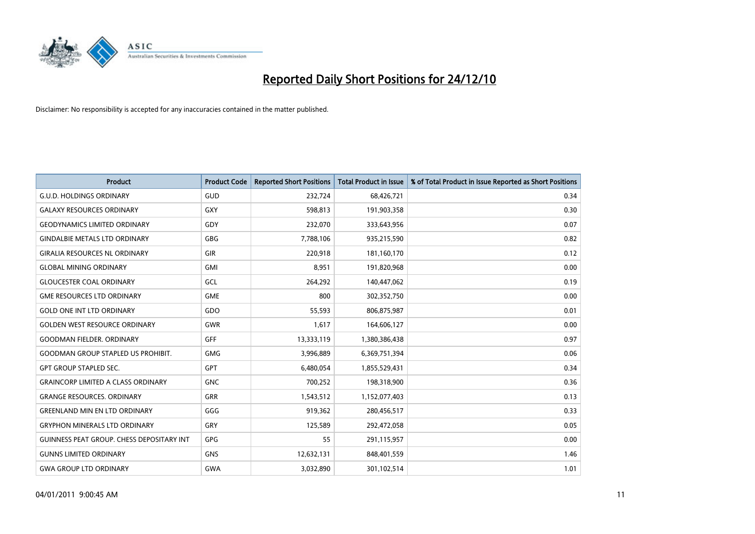

| Product                                   | <b>Product Code</b> | <b>Reported Short Positions</b> | <b>Total Product in Issue</b> | % of Total Product in Issue Reported as Short Positions |
|-------------------------------------------|---------------------|---------------------------------|-------------------------------|---------------------------------------------------------|
| <b>G.U.D. HOLDINGS ORDINARY</b>           | GUD                 | 232,724                         | 68,426,721                    | 0.34                                                    |
| <b>GALAXY RESOURCES ORDINARY</b>          | <b>GXY</b>          | 598,813                         | 191,903,358                   | 0.30                                                    |
| <b>GEODYNAMICS LIMITED ORDINARY</b>       | GDY                 | 232,070                         | 333,643,956                   | 0.07                                                    |
| <b>GINDALBIE METALS LTD ORDINARY</b>      | <b>GBG</b>          | 7,788,106                       | 935,215,590                   | 0.82                                                    |
| <b>GIRALIA RESOURCES NL ORDINARY</b>      | <b>GIR</b>          | 220,918                         | 181,160,170                   | 0.12                                                    |
| <b>GLOBAL MINING ORDINARY</b>             | <b>GMI</b>          | 8,951                           | 191,820,968                   | 0.00                                                    |
| <b>GLOUCESTER COAL ORDINARY</b>           | GCL                 | 264,292                         | 140,447,062                   | 0.19                                                    |
| <b>GME RESOURCES LTD ORDINARY</b>         | <b>GME</b>          | 800                             | 302,352,750                   | 0.00                                                    |
| <b>GOLD ONE INT LTD ORDINARY</b>          | GDO                 | 55,593                          | 806,875,987                   | 0.01                                                    |
| <b>GOLDEN WEST RESOURCE ORDINARY</b>      | <b>GWR</b>          | 1,617                           | 164,606,127                   | 0.00                                                    |
| <b>GOODMAN FIELDER, ORDINARY</b>          | <b>GFF</b>          | 13,333,119                      | 1,380,386,438                 | 0.97                                                    |
| <b>GOODMAN GROUP STAPLED US PROHIBIT.</b> | <b>GMG</b>          | 3,996,889                       | 6,369,751,394                 | 0.06                                                    |
| <b>GPT GROUP STAPLED SEC.</b>             | <b>GPT</b>          | 6,480,054                       | 1,855,529,431                 | 0.34                                                    |
| <b>GRAINCORP LIMITED A CLASS ORDINARY</b> | <b>GNC</b>          | 700,252                         | 198,318,900                   | 0.36                                                    |
| <b>GRANGE RESOURCES. ORDINARY</b>         | <b>GRR</b>          | 1,543,512                       | 1,152,077,403                 | 0.13                                                    |
| <b>GREENLAND MIN EN LTD ORDINARY</b>      | GGG                 | 919,362                         | 280,456,517                   | 0.33                                                    |
| <b>GRYPHON MINERALS LTD ORDINARY</b>      | GRY                 | 125,589                         | 292,472,058                   | 0.05                                                    |
| GUINNESS PEAT GROUP. CHESS DEPOSITARY INT | <b>GPG</b>          | 55                              | 291,115,957                   | 0.00                                                    |
| <b>GUNNS LIMITED ORDINARY</b>             | <b>GNS</b>          | 12,632,131                      | 848,401,559                   | 1.46                                                    |
| <b>GWA GROUP LTD ORDINARY</b>             | <b>GWA</b>          | 3,032,890                       | 301,102,514                   | 1.01                                                    |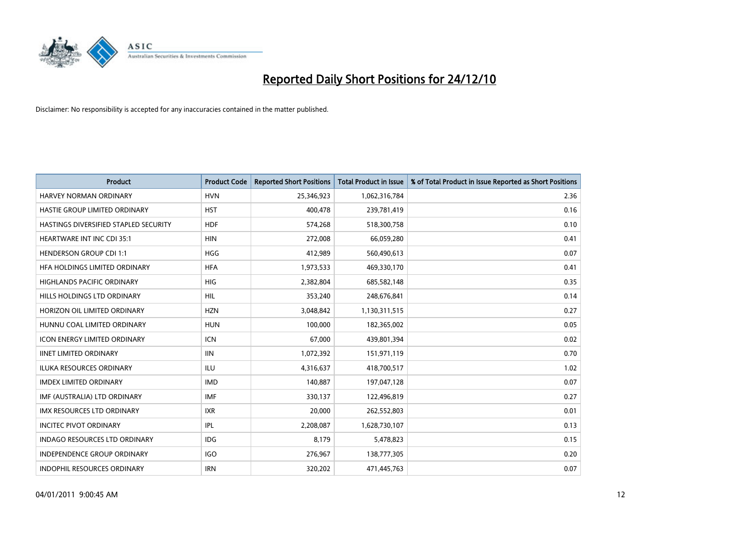

| Product                               | <b>Product Code</b> | <b>Reported Short Positions</b> | <b>Total Product in Issue</b> | % of Total Product in Issue Reported as Short Positions |
|---------------------------------------|---------------------|---------------------------------|-------------------------------|---------------------------------------------------------|
| <b>HARVEY NORMAN ORDINARY</b>         | <b>HVN</b>          | 25,346,923                      | 1,062,316,784                 | 2.36                                                    |
| HASTIE GROUP LIMITED ORDINARY         | <b>HST</b>          | 400,478                         | 239,781,419                   | 0.16                                                    |
| HASTINGS DIVERSIFIED STAPLED SECURITY | <b>HDF</b>          | 574,268                         | 518,300,758                   | 0.10                                                    |
| <b>HEARTWARE INT INC CDI 35:1</b>     | <b>HIN</b>          | 272,008                         | 66,059,280                    | 0.41                                                    |
| <b>HENDERSON GROUP CDI 1:1</b>        | <b>HGG</b>          | 412,989                         | 560,490,613                   | 0.07                                                    |
| HFA HOLDINGS LIMITED ORDINARY         | <b>HFA</b>          | 1,973,533                       | 469,330,170                   | 0.41                                                    |
| <b>HIGHLANDS PACIFIC ORDINARY</b>     | <b>HIG</b>          | 2,382,804                       | 685,582,148                   | 0.35                                                    |
| HILLS HOLDINGS LTD ORDINARY           | HIL                 | 353,240                         | 248,676,841                   | 0.14                                                    |
| HORIZON OIL LIMITED ORDINARY          | <b>HZN</b>          | 3,048,842                       | 1,130,311,515                 | 0.27                                                    |
| HUNNU COAL LIMITED ORDINARY           | <b>HUN</b>          | 100,000                         | 182,365,002                   | 0.05                                                    |
| ICON ENERGY LIMITED ORDINARY          | <b>ICN</b>          | 67,000                          | 439,801,394                   | 0.02                                                    |
| <b>IINET LIMITED ORDINARY</b>         | <b>IIN</b>          | 1,072,392                       | 151,971,119                   | 0.70                                                    |
| ILUKA RESOURCES ORDINARY              | ILU                 | 4,316,637                       | 418,700,517                   | 1.02                                                    |
| <b>IMDEX LIMITED ORDINARY</b>         | <b>IMD</b>          | 140,887                         | 197,047,128                   | 0.07                                                    |
| IMF (AUSTRALIA) LTD ORDINARY          | <b>IMF</b>          | 330,137                         | 122,496,819                   | 0.27                                                    |
| <b>IMX RESOURCES LTD ORDINARY</b>     | <b>IXR</b>          | 20,000                          | 262,552,803                   | 0.01                                                    |
| <b>INCITEC PIVOT ORDINARY</b>         | IPL                 | 2,208,087                       | 1,628,730,107                 | 0.13                                                    |
| <b>INDAGO RESOURCES LTD ORDINARY</b>  | <b>IDG</b>          | 8.179                           | 5,478,823                     | 0.15                                                    |
| <b>INDEPENDENCE GROUP ORDINARY</b>    | <b>IGO</b>          | 276,967                         | 138,777,305                   | 0.20                                                    |
| <b>INDOPHIL RESOURCES ORDINARY</b>    | <b>IRN</b>          | 320,202                         | 471,445,763                   | 0.07                                                    |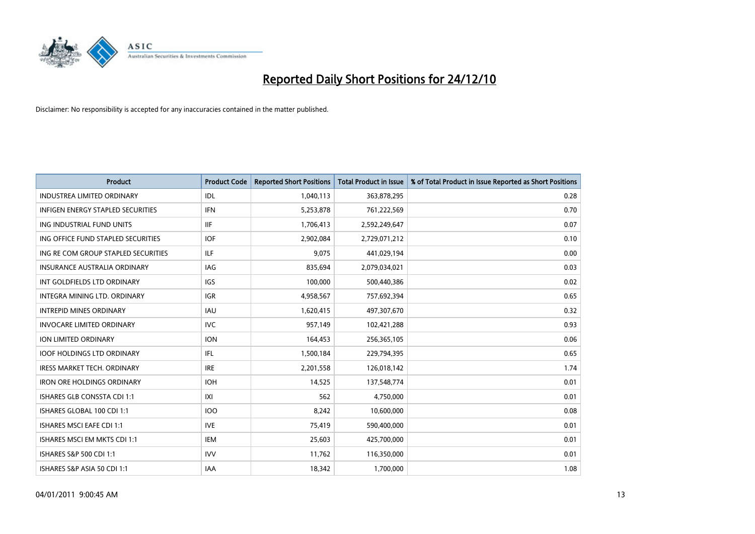

| Product                             | <b>Product Code</b> | <b>Reported Short Positions</b> | <b>Total Product in Issue</b> | % of Total Product in Issue Reported as Short Positions |
|-------------------------------------|---------------------|---------------------------------|-------------------------------|---------------------------------------------------------|
| <b>INDUSTREA LIMITED ORDINARY</b>   | IDL                 | 1,040,113                       | 363,878,295                   | 0.28                                                    |
| INFIGEN ENERGY STAPLED SECURITIES   | <b>IFN</b>          | 5,253,878                       | 761,222,569                   | 0.70                                                    |
| ING INDUSTRIAL FUND UNITS           | <b>IIF</b>          | 1,706,413                       | 2,592,249,647                 | 0.07                                                    |
| ING OFFICE FUND STAPLED SECURITIES  | <b>IOF</b>          | 2,902,084                       | 2,729,071,212                 | 0.10                                                    |
| ING RE COM GROUP STAPLED SECURITIES | ILF                 | 9,075                           | 441,029,194                   | 0.00                                                    |
| <b>INSURANCE AUSTRALIA ORDINARY</b> | <b>IAG</b>          | 835,694                         | 2,079,034,021                 | 0.03                                                    |
| INT GOLDFIELDS LTD ORDINARY         | IGS                 | 100,000                         | 500,440,386                   | 0.02                                                    |
| <b>INTEGRA MINING LTD, ORDINARY</b> | <b>IGR</b>          | 4,958,567                       | 757,692,394                   | 0.65                                                    |
| <b>INTREPID MINES ORDINARY</b>      | IAU                 | 1,620,415                       | 497,307,670                   | 0.32                                                    |
| <b>INVOCARE LIMITED ORDINARY</b>    | <b>IVC</b>          | 957,149                         | 102,421,288                   | 0.93                                                    |
| ION LIMITED ORDINARY                | <b>ION</b>          | 164,453                         | 256,365,105                   | 0.06                                                    |
| <b>IOOF HOLDINGS LTD ORDINARY</b>   | IFL                 | 1,500,184                       | 229,794,395                   | 0.65                                                    |
| IRESS MARKET TECH. ORDINARY         | <b>IRE</b>          | 2,201,558                       | 126,018,142                   | 1.74                                                    |
| <b>IRON ORE HOLDINGS ORDINARY</b>   | <b>IOH</b>          | 14,525                          | 137,548,774                   | 0.01                                                    |
| ISHARES GLB CONSSTA CDI 1:1         | IXI                 | 562                             | 4,750,000                     | 0.01                                                    |
| ISHARES GLOBAL 100 CDI 1:1          | 100                 | 8,242                           | 10,600,000                    | 0.08                                                    |
| <b>ISHARES MSCI EAFE CDI 1:1</b>    | <b>IVE</b>          | 75,419                          | 590,400,000                   | 0.01                                                    |
| ISHARES MSCI EM MKTS CDI 1:1        | IEM                 | 25,603                          | 425,700,000                   | 0.01                                                    |
| ISHARES S&P 500 CDI 1:1             | <b>IVV</b>          | 11,762                          | 116,350,000                   | 0.01                                                    |
| ISHARES S&P ASIA 50 CDI 1:1         | IAA                 | 18,342                          | 1,700,000                     | 1.08                                                    |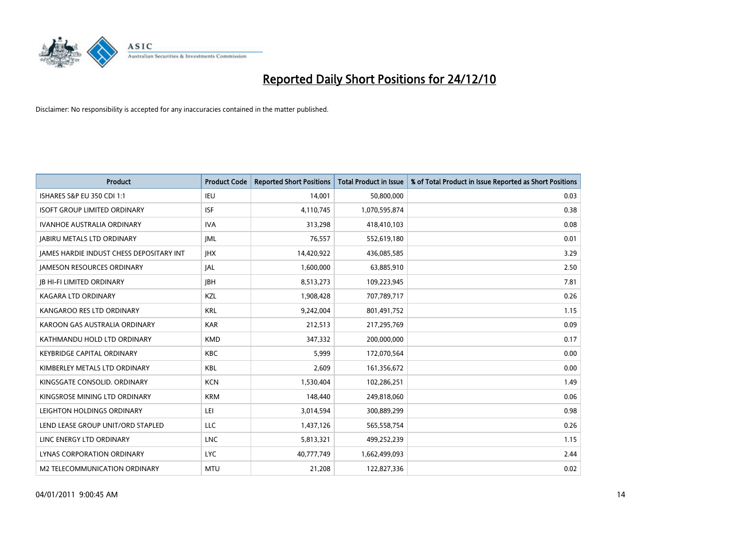

| Product                                  | <b>Product Code</b> | <b>Reported Short Positions</b> | <b>Total Product in Issue</b> | % of Total Product in Issue Reported as Short Positions |
|------------------------------------------|---------------------|---------------------------------|-------------------------------|---------------------------------------------------------|
| ISHARES S&P EU 350 CDI 1:1               | <b>IEU</b>          | 14,001                          | 50,800,000                    | 0.03                                                    |
| <b>ISOFT GROUP LIMITED ORDINARY</b>      | <b>ISF</b>          | 4,110,745                       | 1,070,595,874                 | 0.38                                                    |
| <b>IVANHOE AUSTRALIA ORDINARY</b>        | <b>IVA</b>          | 313,298                         | 418,410,103                   | 0.08                                                    |
| <b>JABIRU METALS LTD ORDINARY</b>        | <b>JML</b>          | 76,557                          | 552,619,180                   | 0.01                                                    |
| JAMES HARDIE INDUST CHESS DEPOSITARY INT | <b>IHX</b>          | 14,420,922                      | 436,085,585                   | 3.29                                                    |
| <b>JAMESON RESOURCES ORDINARY</b>        | JAL                 | 1,600,000                       | 63,885,910                    | 2.50                                                    |
| <b>JB HI-FI LIMITED ORDINARY</b>         | <b>IBH</b>          | 8,513,273                       | 109,223,945                   | 7.81                                                    |
| <b>KAGARA LTD ORDINARY</b>               | KZL                 | 1,908,428                       | 707,789,717                   | 0.26                                                    |
| KANGAROO RES LTD ORDINARY                | <b>KRL</b>          | 9,242,004                       | 801,491,752                   | 1.15                                                    |
| KAROON GAS AUSTRALIA ORDINARY            | <b>KAR</b>          | 212,513                         | 217,295,769                   | 0.09                                                    |
| KATHMANDU HOLD LTD ORDINARY              | <b>KMD</b>          | 347,332                         | 200,000,000                   | 0.17                                                    |
| <b>KEYBRIDGE CAPITAL ORDINARY</b>        | <b>KBC</b>          | 5,999                           | 172,070,564                   | 0.00                                                    |
| KIMBERLEY METALS LTD ORDINARY            | <b>KBL</b>          | 2,609                           | 161,356,672                   | 0.00                                                    |
| KINGSGATE CONSOLID. ORDINARY             | <b>KCN</b>          | 1,530,404                       | 102,286,251                   | 1.49                                                    |
| KINGSROSE MINING LTD ORDINARY            | <b>KRM</b>          | 148,440                         | 249,818,060                   | 0.06                                                    |
| LEIGHTON HOLDINGS ORDINARY               | LEI                 | 3,014,594                       | 300,889,299                   | 0.98                                                    |
| LEND LEASE GROUP UNIT/ORD STAPLED        | LLC                 | 1,437,126                       | 565,558,754                   | 0.26                                                    |
| LINC ENERGY LTD ORDINARY                 | <b>LNC</b>          | 5,813,321                       | 499,252,239                   | 1.15                                                    |
| LYNAS CORPORATION ORDINARY               | <b>LYC</b>          | 40,777,749                      | 1,662,499,093                 | 2.44                                                    |
| M2 TELECOMMUNICATION ORDINARY            | <b>MTU</b>          | 21,208                          | 122,827,336                   | 0.02                                                    |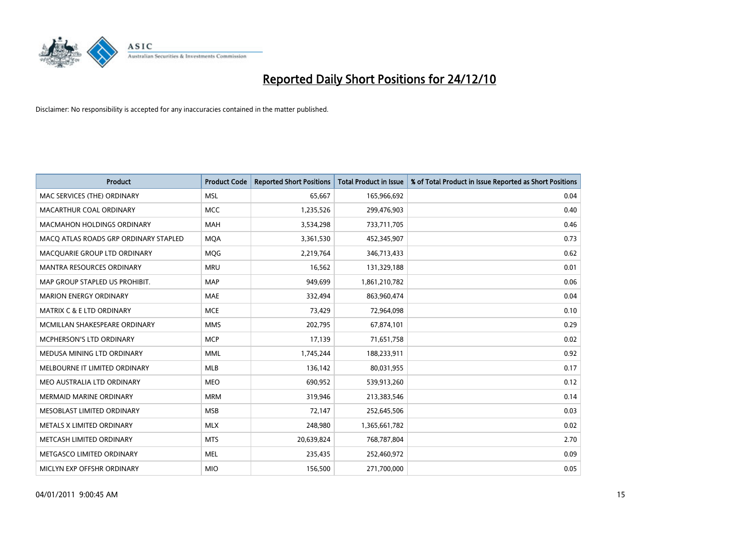

| Product                               | <b>Product Code</b> | <b>Reported Short Positions</b> | <b>Total Product in Issue</b> | % of Total Product in Issue Reported as Short Positions |
|---------------------------------------|---------------------|---------------------------------|-------------------------------|---------------------------------------------------------|
| MAC SERVICES (THE) ORDINARY           | <b>MSL</b>          | 65,667                          | 165,966,692                   | 0.04                                                    |
| MACARTHUR COAL ORDINARY               | <b>MCC</b>          | 1,235,526                       | 299,476,903                   | 0.40                                                    |
| MACMAHON HOLDINGS ORDINARY            | MAH                 | 3,534,298                       | 733,711,705                   | 0.46                                                    |
| MACO ATLAS ROADS GRP ORDINARY STAPLED | <b>MOA</b>          | 3,361,530                       | 452,345,907                   | 0.73                                                    |
| MACQUARIE GROUP LTD ORDINARY          | MQG                 | 2,219,764                       | 346,713,433                   | 0.62                                                    |
| <b>MANTRA RESOURCES ORDINARY</b>      | <b>MRU</b>          | 16,562                          | 131,329,188                   | 0.01                                                    |
| MAP GROUP STAPLED US PROHIBIT.        | <b>MAP</b>          | 949,699                         | 1,861,210,782                 | 0.06                                                    |
| <b>MARION ENERGY ORDINARY</b>         | MAE                 | 332,494                         | 863,960,474                   | 0.04                                                    |
| <b>MATRIX C &amp; E LTD ORDINARY</b>  | <b>MCE</b>          | 73,429                          | 72,964,098                    | 0.10                                                    |
| MCMILLAN SHAKESPEARE ORDINARY         | <b>MMS</b>          | 202,795                         | 67,874,101                    | 0.29                                                    |
| MCPHERSON'S LTD ORDINARY              | <b>MCP</b>          | 17,139                          | 71,651,758                    | 0.02                                                    |
| MEDUSA MINING LTD ORDINARY            | <b>MML</b>          | 1,745,244                       | 188,233,911                   | 0.92                                                    |
| MELBOURNE IT LIMITED ORDINARY         | <b>MLB</b>          | 136,142                         | 80,031,955                    | 0.17                                                    |
| MEO AUSTRALIA LTD ORDINARY            | <b>MEO</b>          | 690,952                         | 539,913,260                   | 0.12                                                    |
| <b>MERMAID MARINE ORDINARY</b>        | <b>MRM</b>          | 319,946                         | 213,383,546                   | 0.14                                                    |
| MESOBLAST LIMITED ORDINARY            | <b>MSB</b>          | 72,147                          | 252,645,506                   | 0.03                                                    |
| METALS X LIMITED ORDINARY             | <b>MLX</b>          | 248,980                         | 1,365,661,782                 | 0.02                                                    |
| METCASH LIMITED ORDINARY              | <b>MTS</b>          | 20,639,824                      | 768,787,804                   | 2.70                                                    |
| METGASCO LIMITED ORDINARY             | <b>MEL</b>          | 235,435                         | 252,460,972                   | 0.09                                                    |
| MICLYN EXP OFFSHR ORDINARY            | <b>MIO</b>          | 156,500                         | 271,700,000                   | 0.05                                                    |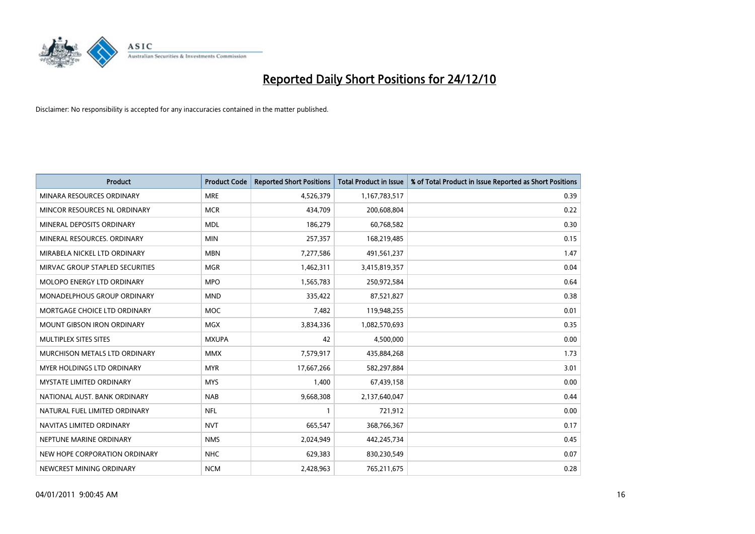

| Product                           | <b>Product Code</b> | <b>Reported Short Positions</b> | <b>Total Product in Issue</b> | % of Total Product in Issue Reported as Short Positions |
|-----------------------------------|---------------------|---------------------------------|-------------------------------|---------------------------------------------------------|
| MINARA RESOURCES ORDINARY         | <b>MRE</b>          | 4,526,379                       | 1,167,783,517                 | 0.39                                                    |
| MINCOR RESOURCES NL ORDINARY      | <b>MCR</b>          | 434,709                         | 200,608,804                   | 0.22                                                    |
| MINERAL DEPOSITS ORDINARY         | <b>MDL</b>          | 186,279                         | 60,768,582                    | 0.30                                                    |
| MINERAL RESOURCES, ORDINARY       | <b>MIN</b>          | 257,357                         | 168,219,485                   | 0.15                                                    |
| MIRABELA NICKEL LTD ORDINARY      | <b>MBN</b>          | 7,277,586                       | 491,561,237                   | 1.47                                                    |
| MIRVAC GROUP STAPLED SECURITIES   | <b>MGR</b>          | 1,462,311                       | 3,415,819,357                 | 0.04                                                    |
| MOLOPO ENERGY LTD ORDINARY        | <b>MPO</b>          | 1,565,783                       | 250,972,584                   | 0.64                                                    |
| MONADELPHOUS GROUP ORDINARY       | <b>MND</b>          | 335,422                         | 87,521,827                    | 0.38                                                    |
| MORTGAGE CHOICE LTD ORDINARY      | <b>MOC</b>          | 7,482                           | 119,948,255                   | 0.01                                                    |
| <b>MOUNT GIBSON IRON ORDINARY</b> | <b>MGX</b>          | 3,834,336                       | 1,082,570,693                 | 0.35                                                    |
| MULTIPLEX SITES SITES             | <b>MXUPA</b>        | 42                              | 4,500,000                     | 0.00                                                    |
| MURCHISON METALS LTD ORDINARY     | <b>MMX</b>          | 7,579,917                       | 435,884,268                   | 1.73                                                    |
| MYER HOLDINGS LTD ORDINARY        | <b>MYR</b>          | 17,667,266                      | 582,297,884                   | 3.01                                                    |
| <b>MYSTATE LIMITED ORDINARY</b>   | <b>MYS</b>          | 1,400                           | 67,439,158                    | 0.00                                                    |
| NATIONAL AUST, BANK ORDINARY      | <b>NAB</b>          | 9,668,308                       | 2,137,640,047                 | 0.44                                                    |
| NATURAL FUEL LIMITED ORDINARY     | <b>NFL</b>          | 1                               | 721,912                       | 0.00                                                    |
| NAVITAS LIMITED ORDINARY          | <b>NVT</b>          | 665,547                         | 368,766,367                   | 0.17                                                    |
| NEPTUNE MARINE ORDINARY           | <b>NMS</b>          | 2,024,949                       | 442,245,734                   | 0.45                                                    |
| NEW HOPE CORPORATION ORDINARY     | <b>NHC</b>          | 629,383                         | 830,230,549                   | 0.07                                                    |
| NEWCREST MINING ORDINARY          | <b>NCM</b>          | 2,428,963                       | 765,211,675                   | 0.28                                                    |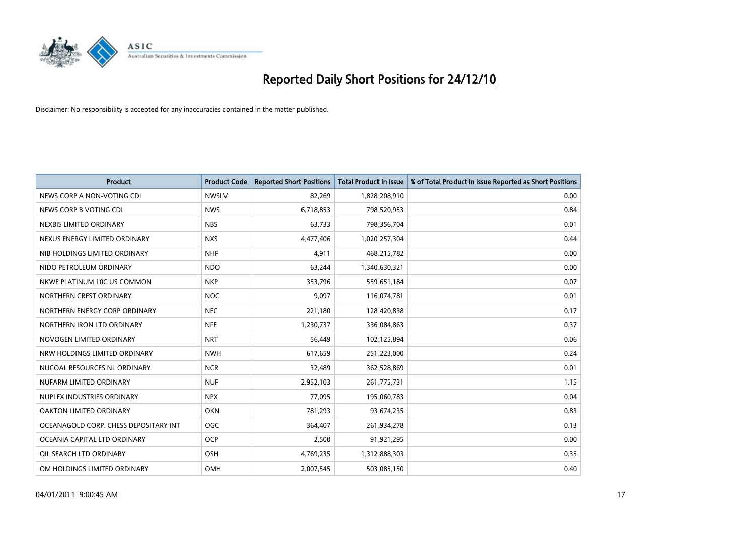

| <b>Product</b>                        | <b>Product Code</b> | <b>Reported Short Positions</b> | <b>Total Product in Issue</b> | % of Total Product in Issue Reported as Short Positions |
|---------------------------------------|---------------------|---------------------------------|-------------------------------|---------------------------------------------------------|
| NEWS CORP A NON-VOTING CDI            | <b>NWSLV</b>        | 82,269                          | 1,828,208,910                 | 0.00                                                    |
| NEWS CORP B VOTING CDI                | <b>NWS</b>          | 6,718,853                       | 798,520,953                   | 0.84                                                    |
| NEXBIS LIMITED ORDINARY               | <b>NBS</b>          | 63,733                          | 798,356,704                   | 0.01                                                    |
| NEXUS ENERGY LIMITED ORDINARY         | <b>NXS</b>          | 4,477,406                       | 1,020,257,304                 | 0.44                                                    |
| NIB HOLDINGS LIMITED ORDINARY         | <b>NHF</b>          | 4,911                           | 468,215,782                   | 0.00                                                    |
| NIDO PETROLEUM ORDINARY               | <b>NDO</b>          | 63,244                          | 1,340,630,321                 | 0.00                                                    |
| NKWE PLATINUM 10C US COMMON           | <b>NKP</b>          | 353,796                         | 559,651,184                   | 0.07                                                    |
| NORTHERN CREST ORDINARY               | <b>NOC</b>          | 9,097                           | 116,074,781                   | 0.01                                                    |
| NORTHERN ENERGY CORP ORDINARY         | <b>NEC</b>          | 221,180                         | 128,420,838                   | 0.17                                                    |
| NORTHERN IRON LTD ORDINARY            | <b>NFE</b>          | 1,230,737                       | 336,084,863                   | 0.37                                                    |
| NOVOGEN LIMITED ORDINARY              | <b>NRT</b>          | 56,449                          | 102,125,894                   | 0.06                                                    |
| NRW HOLDINGS LIMITED ORDINARY         | <b>NWH</b>          | 617,659                         | 251,223,000                   | 0.24                                                    |
| NUCOAL RESOURCES NL ORDINARY          | <b>NCR</b>          | 32,489                          | 362,528,869                   | 0.01                                                    |
| NUFARM LIMITED ORDINARY               | <b>NUF</b>          | 2,952,103                       | 261,775,731                   | 1.15                                                    |
| NUPLEX INDUSTRIES ORDINARY            | <b>NPX</b>          | 77,095                          | 195,060,783                   | 0.04                                                    |
| OAKTON LIMITED ORDINARY               | <b>OKN</b>          | 781,293                         | 93,674,235                    | 0.83                                                    |
| OCEANAGOLD CORP. CHESS DEPOSITARY INT | <b>OGC</b>          | 364,407                         | 261,934,278                   | 0.13                                                    |
| OCEANIA CAPITAL LTD ORDINARY          | <b>OCP</b>          | 2,500                           | 91,921,295                    | 0.00                                                    |
| OIL SEARCH LTD ORDINARY               | <b>OSH</b>          | 4,769,235                       | 1,312,888,303                 | 0.35                                                    |
| OM HOLDINGS LIMITED ORDINARY          | OMH                 | 2,007,545                       | 503,085,150                   | 0.40                                                    |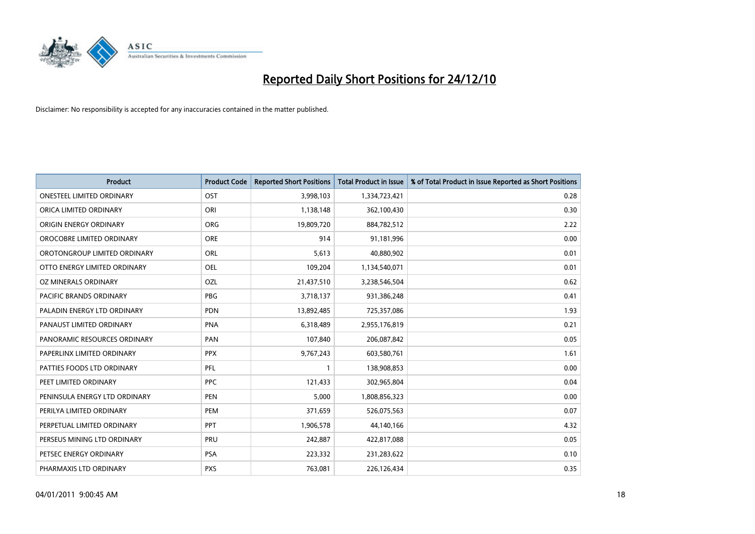

| Product                          | <b>Product Code</b> | <b>Reported Short Positions</b> | <b>Total Product in Issue</b> | % of Total Product in Issue Reported as Short Positions |
|----------------------------------|---------------------|---------------------------------|-------------------------------|---------------------------------------------------------|
| <b>ONESTEEL LIMITED ORDINARY</b> | OST                 | 3,998,103                       | 1,334,723,421                 | 0.28                                                    |
| ORICA LIMITED ORDINARY           | ORI                 | 1,138,148                       | 362,100,430                   | 0.30                                                    |
| ORIGIN ENERGY ORDINARY           | <b>ORG</b>          | 19,809,720                      | 884,782,512                   | 2.22                                                    |
| OROCOBRE LIMITED ORDINARY        | <b>ORE</b>          | 914                             | 91,181,996                    | 0.00                                                    |
| OROTONGROUP LIMITED ORDINARY     | ORL                 | 5,613                           | 40,880,902                    | 0.01                                                    |
| OTTO ENERGY LIMITED ORDINARY     | <b>OEL</b>          | 109,204                         | 1,134,540,071                 | 0.01                                                    |
| OZ MINERALS ORDINARY             | <b>OZL</b>          | 21,437,510                      | 3,238,546,504                 | 0.62                                                    |
| <b>PACIFIC BRANDS ORDINARY</b>   | <b>PBG</b>          | 3,718,137                       | 931,386,248                   | 0.41                                                    |
| PALADIN ENERGY LTD ORDINARY      | <b>PDN</b>          | 13,892,485                      | 725,357,086                   | 1.93                                                    |
| PANAUST LIMITED ORDINARY         | <b>PNA</b>          | 6,318,489                       | 2,955,176,819                 | 0.21                                                    |
| PANORAMIC RESOURCES ORDINARY     | PAN                 | 107,840                         | 206,087,842                   | 0.05                                                    |
| PAPERLINX LIMITED ORDINARY       | <b>PPX</b>          | 9,767,243                       | 603,580,761                   | 1.61                                                    |
| PATTIES FOODS LTD ORDINARY       | PFL                 | $\mathbf{1}$                    | 138,908,853                   | 0.00                                                    |
| PEET LIMITED ORDINARY            | <b>PPC</b>          | 121,433                         | 302,965,804                   | 0.04                                                    |
| PENINSULA ENERGY LTD ORDINARY    | <b>PEN</b>          | 5,000                           | 1,808,856,323                 | 0.00                                                    |
| PERILYA LIMITED ORDINARY         | PEM                 | 371,659                         | 526,075,563                   | 0.07                                                    |
| PERPETUAL LIMITED ORDINARY       | PPT                 | 1,906,578                       | 44,140,166                    | 4.32                                                    |
| PERSEUS MINING LTD ORDINARY      | PRU                 | 242,887                         | 422,817,088                   | 0.05                                                    |
| PETSEC ENERGY ORDINARY           | PSA                 | 223,332                         | 231,283,622                   | 0.10                                                    |
| PHARMAXIS LTD ORDINARY           | <b>PXS</b>          | 763,081                         | 226,126,434                   | 0.35                                                    |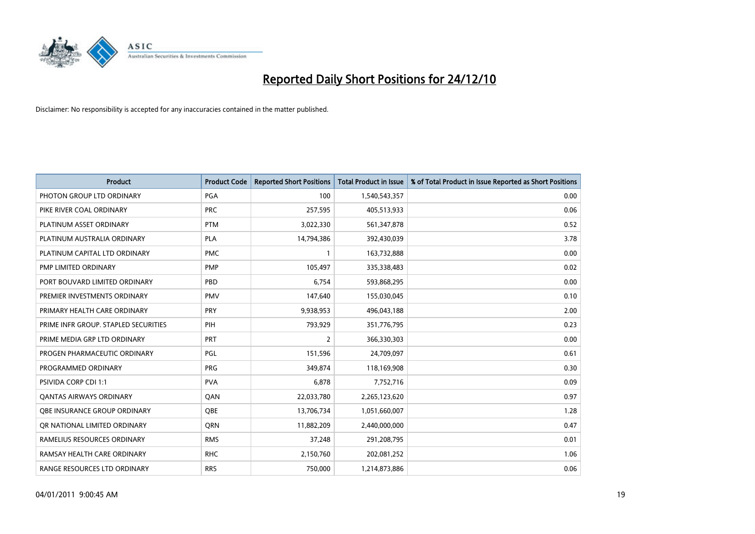

| Product                              | <b>Product Code</b> | <b>Reported Short Positions</b> | <b>Total Product in Issue</b> | % of Total Product in Issue Reported as Short Positions |
|--------------------------------------|---------------------|---------------------------------|-------------------------------|---------------------------------------------------------|
| PHOTON GROUP LTD ORDINARY            | PGA                 | 100                             | 1,540,543,357                 | 0.00                                                    |
| PIKE RIVER COAL ORDINARY             | <b>PRC</b>          | 257,595                         | 405,513,933                   | 0.06                                                    |
| PLATINUM ASSET ORDINARY              | <b>PTM</b>          | 3,022,330                       | 561,347,878                   | 0.52                                                    |
| PLATINUM AUSTRALIA ORDINARY          | <b>PLA</b>          | 14,794,386                      | 392,430,039                   | 3.78                                                    |
| PLATINUM CAPITAL LTD ORDINARY        | <b>PMC</b>          | 1                               | 163,732,888                   | 0.00                                                    |
| PMP LIMITED ORDINARY                 | <b>PMP</b>          | 105,497                         | 335,338,483                   | 0.02                                                    |
| PORT BOUVARD LIMITED ORDINARY        | PBD                 | 6,754                           | 593,868,295                   | 0.00                                                    |
| PREMIER INVESTMENTS ORDINARY         | <b>PMV</b>          | 147,640                         | 155,030,045                   | 0.10                                                    |
| PRIMARY HEALTH CARE ORDINARY         | PRY                 | 9,938,953                       | 496,043,188                   | 2.00                                                    |
| PRIME INFR GROUP. STAPLED SECURITIES | PIH                 | 793,929                         | 351,776,795                   | 0.23                                                    |
| PRIME MEDIA GRP LTD ORDINARY         | <b>PRT</b>          | 2                               | 366,330,303                   | 0.00                                                    |
| PROGEN PHARMACEUTIC ORDINARY         | <b>PGL</b>          | 151,596                         | 24,709,097                    | 0.61                                                    |
| PROGRAMMED ORDINARY                  | <b>PRG</b>          | 349,874                         | 118,169,908                   | 0.30                                                    |
| <b>PSIVIDA CORP CDI 1:1</b>          | <b>PVA</b>          | 6,878                           | 7,752,716                     | 0.09                                                    |
| <b>QANTAS AIRWAYS ORDINARY</b>       | QAN                 | 22,033,780                      | 2,265,123,620                 | 0.97                                                    |
| OBE INSURANCE GROUP ORDINARY         | QBE                 | 13,706,734                      | 1,051,660,007                 | 1.28                                                    |
| OR NATIONAL LIMITED ORDINARY         | QRN                 | 11,882,209                      | 2,440,000,000                 | 0.47                                                    |
| RAMELIUS RESOURCES ORDINARY          | <b>RMS</b>          | 37,248                          | 291,208,795                   | 0.01                                                    |
| RAMSAY HEALTH CARE ORDINARY          | <b>RHC</b>          | 2,150,760                       | 202,081,252                   | 1.06                                                    |
| RANGE RESOURCES LTD ORDINARY         | <b>RRS</b>          | 750,000                         | 1,214,873,886                 | 0.06                                                    |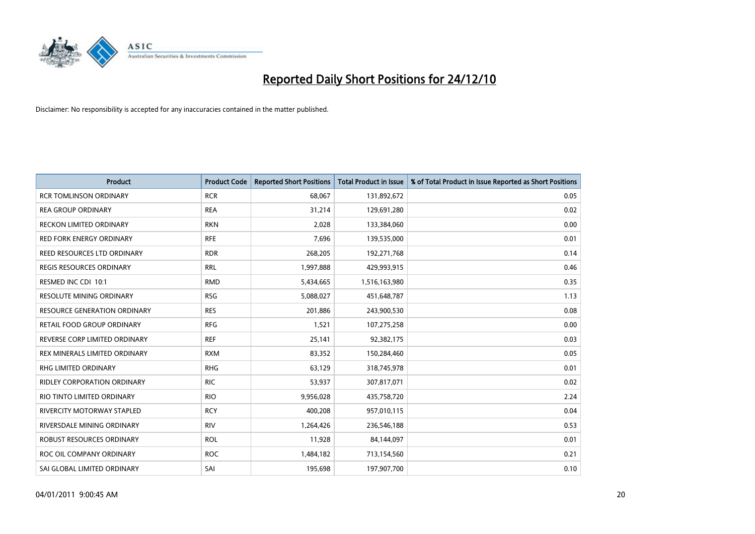

| Product                             | <b>Product Code</b> | <b>Reported Short Positions</b> | <b>Total Product in Issue</b> | % of Total Product in Issue Reported as Short Positions |
|-------------------------------------|---------------------|---------------------------------|-------------------------------|---------------------------------------------------------|
| <b>RCR TOMLINSON ORDINARY</b>       | <b>RCR</b>          | 68,067                          | 131,892,672                   | 0.05                                                    |
| <b>REA GROUP ORDINARY</b>           | <b>REA</b>          | 31,214                          | 129,691,280                   | 0.02                                                    |
| RECKON LIMITED ORDINARY             | <b>RKN</b>          | 2,028                           | 133,384,060                   | 0.00                                                    |
| <b>RED FORK ENERGY ORDINARY</b>     | <b>RFE</b>          | 7,696                           | 139,535,000                   | 0.01                                                    |
| REED RESOURCES LTD ORDINARY         | <b>RDR</b>          | 268,205                         | 192,271,768                   | 0.14                                                    |
| <b>REGIS RESOURCES ORDINARY</b>     | <b>RRL</b>          | 1,997,888                       | 429,993,915                   | 0.46                                                    |
| RESMED INC CDI 10:1                 | <b>RMD</b>          | 5,434,665                       | 1,516,163,980                 | 0.35                                                    |
| RESOLUTE MINING ORDINARY            | <b>RSG</b>          | 5,088,027                       | 451,648,787                   | 1.13                                                    |
| <b>RESOURCE GENERATION ORDINARY</b> | <b>RES</b>          | 201,886                         | 243,900,530                   | 0.08                                                    |
| <b>RETAIL FOOD GROUP ORDINARY</b>   | <b>RFG</b>          | 1,521                           | 107,275,258                   | 0.00                                                    |
| REVERSE CORP LIMITED ORDINARY       | <b>REF</b>          | 25,141                          | 92,382,175                    | 0.03                                                    |
| REX MINERALS LIMITED ORDINARY       | <b>RXM</b>          | 83,352                          | 150,284,460                   | 0.05                                                    |
| RHG LIMITED ORDINARY                | <b>RHG</b>          | 63,129                          | 318,745,978                   | 0.01                                                    |
| RIDLEY CORPORATION ORDINARY         | <b>RIC</b>          | 53,937                          | 307,817,071                   | 0.02                                                    |
| RIO TINTO LIMITED ORDINARY          | <b>RIO</b>          | 9,956,028                       | 435,758,720                   | 2.24                                                    |
| RIVERCITY MOTORWAY STAPLED          | <b>RCY</b>          | 400,208                         | 957,010,115                   | 0.04                                                    |
| RIVERSDALE MINING ORDINARY          | <b>RIV</b>          | 1,264,426                       | 236,546,188                   | 0.53                                                    |
| ROBUST RESOURCES ORDINARY           | <b>ROL</b>          | 11,928                          | 84,144,097                    | 0.01                                                    |
| ROC OIL COMPANY ORDINARY            | <b>ROC</b>          | 1,484,182                       | 713,154,560                   | 0.21                                                    |
| SAI GLOBAL LIMITED ORDINARY         | SAI                 | 195,698                         | 197,907,700                   | 0.10                                                    |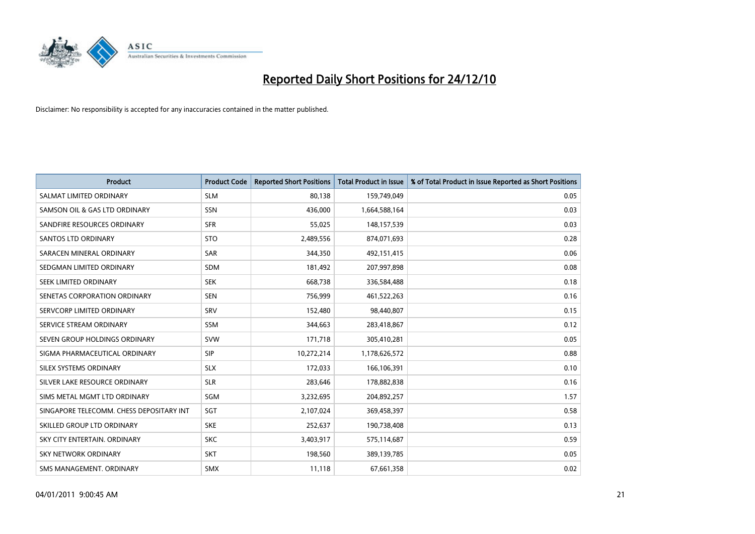

| Product                                  | <b>Product Code</b> | <b>Reported Short Positions</b> | <b>Total Product in Issue</b> | % of Total Product in Issue Reported as Short Positions |
|------------------------------------------|---------------------|---------------------------------|-------------------------------|---------------------------------------------------------|
| SALMAT LIMITED ORDINARY                  | <b>SLM</b>          | 80,138                          | 159,749,049                   | 0.05                                                    |
| SAMSON OIL & GAS LTD ORDINARY            | SSN                 | 436,000                         | 1,664,588,164                 | 0.03                                                    |
| SANDFIRE RESOURCES ORDINARY              | <b>SFR</b>          | 55,025                          | 148,157,539                   | 0.03                                                    |
| <b>SANTOS LTD ORDINARY</b>               | <b>STO</b>          | 2,489,556                       | 874,071,693                   | 0.28                                                    |
| SARACEN MINERAL ORDINARY                 | SAR                 | 344,350                         | 492,151,415                   | 0.06                                                    |
| SEDGMAN LIMITED ORDINARY                 | <b>SDM</b>          | 181,492                         | 207,997,898                   | 0.08                                                    |
| SEEK LIMITED ORDINARY                    | <b>SEK</b>          | 668,738                         | 336,584,488                   | 0.18                                                    |
| SENETAS CORPORATION ORDINARY             | <b>SEN</b>          | 756,999                         | 461,522,263                   | 0.16                                                    |
| SERVCORP LIMITED ORDINARY                | SRV                 | 152,480                         | 98,440,807                    | 0.15                                                    |
| SERVICE STREAM ORDINARY                  | <b>SSM</b>          | 344,663                         | 283,418,867                   | 0.12                                                    |
| SEVEN GROUP HOLDINGS ORDINARY            | <b>SVW</b>          | 171,718                         | 305,410,281                   | 0.05                                                    |
| SIGMA PHARMACEUTICAL ORDINARY            | <b>SIP</b>          | 10,272,214                      | 1,178,626,572                 | 0.88                                                    |
| SILEX SYSTEMS ORDINARY                   | <b>SLX</b>          | 172,033                         | 166,106,391                   | 0.10                                                    |
| SILVER LAKE RESOURCE ORDINARY            | <b>SLR</b>          | 283,646                         | 178,882,838                   | 0.16                                                    |
| SIMS METAL MGMT LTD ORDINARY             | SGM                 | 3,232,695                       | 204,892,257                   | 1.57                                                    |
| SINGAPORE TELECOMM. CHESS DEPOSITARY INT | SGT                 | 2,107,024                       | 369,458,397                   | 0.58                                                    |
| SKILLED GROUP LTD ORDINARY               | <b>SKE</b>          | 252,637                         | 190,738,408                   | 0.13                                                    |
| SKY CITY ENTERTAIN. ORDINARY             | <b>SKC</b>          | 3,403,917                       | 575,114,687                   | 0.59                                                    |
| <b>SKY NETWORK ORDINARY</b>              | <b>SKT</b>          | 198,560                         | 389,139,785                   | 0.05                                                    |
| SMS MANAGEMENT, ORDINARY                 | SMX                 | 11,118                          | 67,661,358                    | 0.02                                                    |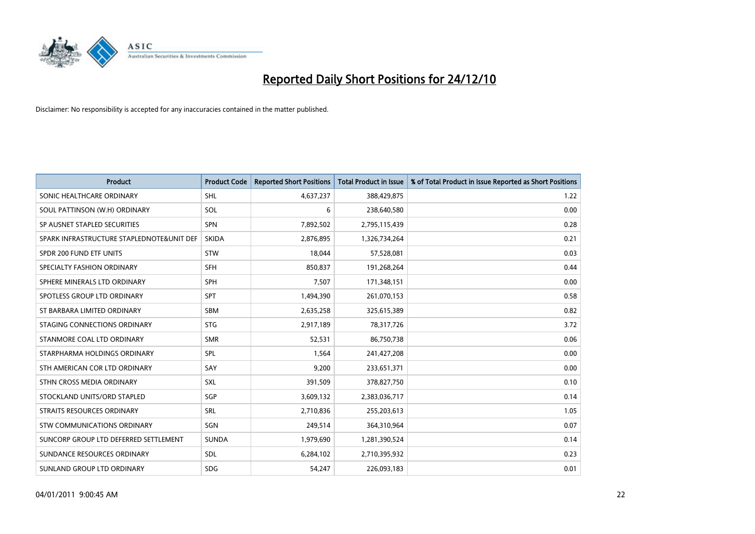

| Product                                   | <b>Product Code</b> | <b>Reported Short Positions</b> | <b>Total Product in Issue</b> | % of Total Product in Issue Reported as Short Positions |
|-------------------------------------------|---------------------|---------------------------------|-------------------------------|---------------------------------------------------------|
| SONIC HEALTHCARE ORDINARY                 | <b>SHL</b>          | 4,637,237                       | 388,429,875                   | 1.22                                                    |
| SOUL PATTINSON (W.H) ORDINARY             | SOL                 | 6                               | 238,640,580                   | 0.00                                                    |
| SP AUSNET STAPLED SECURITIES              | <b>SPN</b>          | 7,892,502                       | 2,795,115,439                 | 0.28                                                    |
| SPARK INFRASTRUCTURE STAPLEDNOTE&UNIT DEF | <b>SKIDA</b>        | 2,876,895                       | 1,326,734,264                 | 0.21                                                    |
| SPDR 200 FUND ETF UNITS                   | <b>STW</b>          | 18,044                          | 57,528,081                    | 0.03                                                    |
| SPECIALTY FASHION ORDINARY                | <b>SFH</b>          | 850,837                         | 191,268,264                   | 0.44                                                    |
| SPHERE MINERALS LTD ORDINARY              | <b>SPH</b>          | 7,507                           | 171,348,151                   | 0.00                                                    |
| SPOTLESS GROUP LTD ORDINARY               | <b>SPT</b>          | 1,494,390                       | 261,070,153                   | 0.58                                                    |
| ST BARBARA LIMITED ORDINARY               | <b>SBM</b>          | 2,635,258                       | 325,615,389                   | 0.82                                                    |
| STAGING CONNECTIONS ORDINARY              | <b>STG</b>          | 2,917,189                       | 78,317,726                    | 3.72                                                    |
| STANMORE COAL LTD ORDINARY                | <b>SMR</b>          | 52,531                          | 86,750,738                    | 0.06                                                    |
| STARPHARMA HOLDINGS ORDINARY              | <b>SPL</b>          | 1,564                           | 241,427,208                   | 0.00                                                    |
| STH AMERICAN COR LTD ORDINARY             | SAY                 | 9,200                           | 233,651,371                   | 0.00                                                    |
| STHN CROSS MEDIA ORDINARY                 | SXL                 | 391,509                         | 378,827,750                   | 0.10                                                    |
| STOCKLAND UNITS/ORD STAPLED               | SGP                 | 3,609,132                       | 2,383,036,717                 | 0.14                                                    |
| STRAITS RESOURCES ORDINARY                | SRL                 | 2,710,836                       | 255,203,613                   | 1.05                                                    |
| STW COMMUNICATIONS ORDINARY               | SGN                 | 249,514                         | 364,310,964                   | 0.07                                                    |
| SUNCORP GROUP LTD DEFERRED SETTLEMENT     | <b>SUNDA</b>        | 1,979,690                       | 1,281,390,524                 | 0.14                                                    |
| SUNDANCE RESOURCES ORDINARY               | <b>SDL</b>          | 6,284,102                       | 2,710,395,932                 | 0.23                                                    |
| SUNLAND GROUP LTD ORDINARY                | <b>SDG</b>          | 54,247                          | 226,093,183                   | 0.01                                                    |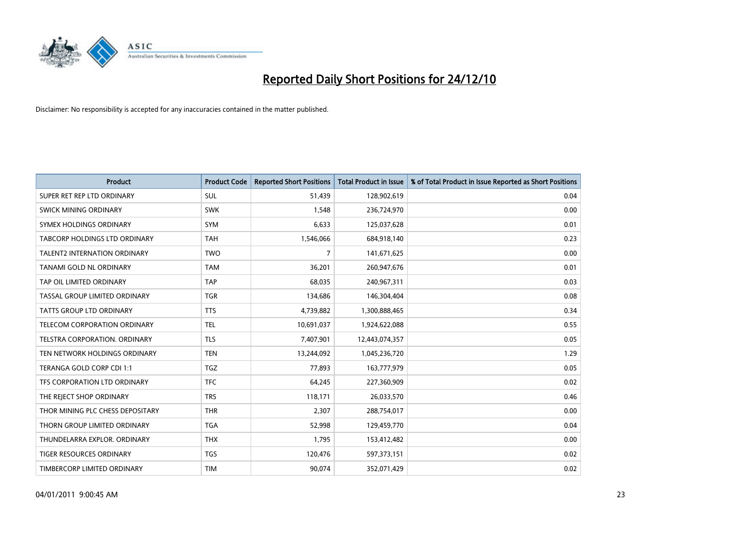

| <b>Product</b>                      | <b>Product Code</b> | <b>Reported Short Positions</b> | <b>Total Product in Issue</b> | % of Total Product in Issue Reported as Short Positions |
|-------------------------------------|---------------------|---------------------------------|-------------------------------|---------------------------------------------------------|
| SUPER RET REP LTD ORDINARY          | SUL                 | 51,439                          | 128,902,619                   | 0.04                                                    |
| SWICK MINING ORDINARY               | <b>SWK</b>          | 1,548                           | 236,724,970                   | 0.00                                                    |
| SYMEX HOLDINGS ORDINARY             | <b>SYM</b>          | 6,633                           | 125,037,628                   | 0.01                                                    |
| TABCORP HOLDINGS LTD ORDINARY       | <b>TAH</b>          | 1,546,066                       | 684,918,140                   | 0.23                                                    |
| <b>TALENT2 INTERNATION ORDINARY</b> | <b>TWO</b>          | 7                               | 141,671,625                   | 0.00                                                    |
| TANAMI GOLD NL ORDINARY             | <b>TAM</b>          | 36,201                          | 260,947,676                   | 0.01                                                    |
| TAP OIL LIMITED ORDINARY            | <b>TAP</b>          | 68,035                          | 240,967,311                   | 0.03                                                    |
| TASSAL GROUP LIMITED ORDINARY       | <b>TGR</b>          | 134,686                         | 146,304,404                   | 0.08                                                    |
| <b>TATTS GROUP LTD ORDINARY</b>     | <b>TTS</b>          | 4,739,882                       | 1,300,888,465                 | 0.34                                                    |
| TELECOM CORPORATION ORDINARY        | <b>TEL</b>          | 10,691,037                      | 1,924,622,088                 | 0.55                                                    |
| TELSTRA CORPORATION. ORDINARY       | <b>TLS</b>          | 7,407,901                       | 12,443,074,357                | 0.05                                                    |
| TEN NETWORK HOLDINGS ORDINARY       | <b>TEN</b>          | 13,244,092                      | 1,045,236,720                 | 1.29                                                    |
| TERANGA GOLD CORP CDI 1:1           | TGZ                 | 77,893                          | 163,777,979                   | 0.05                                                    |
| TFS CORPORATION LTD ORDINARY        | <b>TFC</b>          | 64,245                          | 227,360,909                   | 0.02                                                    |
| THE REJECT SHOP ORDINARY            | <b>TRS</b>          | 118,171                         | 26,033,570                    | 0.46                                                    |
| THOR MINING PLC CHESS DEPOSITARY    | <b>THR</b>          | 2,307                           | 288,754,017                   | 0.00                                                    |
| THORN GROUP LIMITED ORDINARY        | <b>TGA</b>          | 52,998                          | 129,459,770                   | 0.04                                                    |
| THUNDELARRA EXPLOR. ORDINARY        | <b>THX</b>          | 1,795                           | 153,412,482                   | 0.00                                                    |
| <b>TIGER RESOURCES ORDINARY</b>     | <b>TGS</b>          | 120,476                         | 597,373,151                   | 0.02                                                    |
| TIMBERCORP LIMITED ORDINARY         | <b>TIM</b>          | 90,074                          | 352,071,429                   | 0.02                                                    |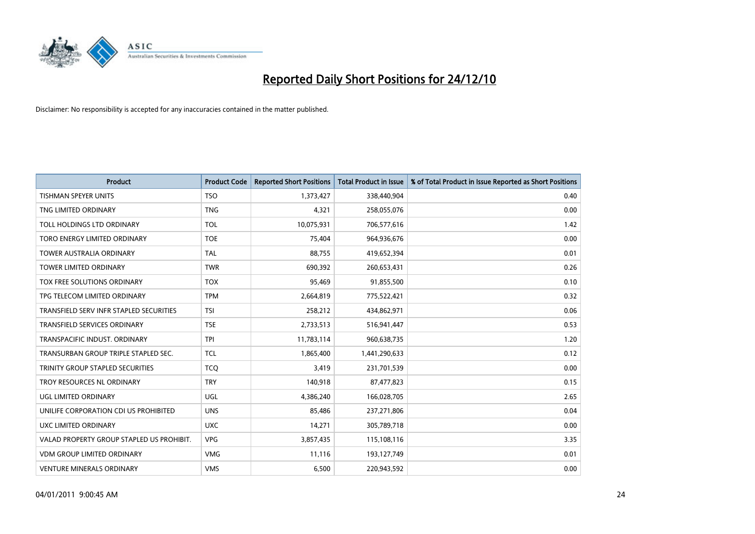

| <b>Product</b>                            | <b>Product Code</b> | <b>Reported Short Positions</b> | <b>Total Product in Issue</b> | % of Total Product in Issue Reported as Short Positions |
|-------------------------------------------|---------------------|---------------------------------|-------------------------------|---------------------------------------------------------|
| <b>TISHMAN SPEYER UNITS</b>               | <b>TSO</b>          | 1,373,427                       | 338,440,904                   | 0.40                                                    |
| TNG LIMITED ORDINARY                      | <b>TNG</b>          | 4,321                           | 258,055,076                   | 0.00                                                    |
| TOLL HOLDINGS LTD ORDINARY                | <b>TOL</b>          | 10,075,931                      | 706,577,616                   | 1.42                                                    |
| TORO ENERGY LIMITED ORDINARY              | <b>TOE</b>          | 75,404                          | 964,936,676                   | 0.00                                                    |
| <b>TOWER AUSTRALIA ORDINARY</b>           | <b>TAL</b>          | 88,755                          | 419,652,394                   | 0.01                                                    |
| <b>TOWER LIMITED ORDINARY</b>             | <b>TWR</b>          | 690,392                         | 260,653,431                   | 0.26                                                    |
| TOX FREE SOLUTIONS ORDINARY               | <b>TOX</b>          | 95,469                          | 91,855,500                    | 0.10                                                    |
| TPG TELECOM LIMITED ORDINARY              | <b>TPM</b>          | 2,664,819                       | 775,522,421                   | 0.32                                                    |
| TRANSFIELD SERV INFR STAPLED SECURITIES   | <b>TSI</b>          | 258,212                         | 434,862,971                   | 0.06                                                    |
| <b>TRANSFIELD SERVICES ORDINARY</b>       | <b>TSE</b>          | 2,733,513                       | 516,941,447                   | 0.53                                                    |
| TRANSPACIFIC INDUST. ORDINARY             | <b>TPI</b>          | 11,783,114                      | 960,638,735                   | 1.20                                                    |
| TRANSURBAN GROUP TRIPLE STAPLED SEC.      | <b>TCL</b>          | 1,865,400                       | 1,441,290,633                 | 0.12                                                    |
| TRINITY GROUP STAPLED SECURITIES          | <b>TCO</b>          | 3,419                           | 231,701,539                   | 0.00                                                    |
| TROY RESOURCES NL ORDINARY                | <b>TRY</b>          | 140,918                         | 87,477,823                    | 0.15                                                    |
| <b>UGL LIMITED ORDINARY</b>               | <b>UGL</b>          | 4,386,240                       | 166,028,705                   | 2.65                                                    |
| UNILIFE CORPORATION CDI US PROHIBITED     | <b>UNS</b>          | 85,486                          | 237,271,806                   | 0.04                                                    |
| UXC LIMITED ORDINARY                      | <b>UXC</b>          | 14,271                          | 305,789,718                   | 0.00                                                    |
| VALAD PROPERTY GROUP STAPLED US PROHIBIT. | <b>VPG</b>          | 3,857,435                       | 115,108,116                   | 3.35                                                    |
| <b>VDM GROUP LIMITED ORDINARY</b>         | <b>VMG</b>          | 11,116                          | 193,127,749                   | 0.01                                                    |
| VENTURE MINERALS ORDINARY                 | <b>VMS</b>          | 6,500                           | 220,943,592                   | 0.00                                                    |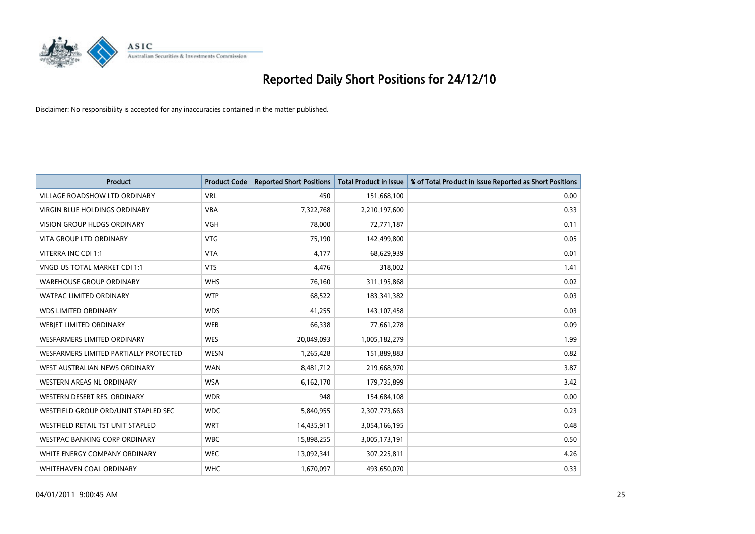

| Product                                | <b>Product Code</b> | <b>Reported Short Positions</b> | <b>Total Product in Issue</b> | % of Total Product in Issue Reported as Short Positions |
|----------------------------------------|---------------------|---------------------------------|-------------------------------|---------------------------------------------------------|
| <b>VILLAGE ROADSHOW LTD ORDINARY</b>   | <b>VRL</b>          | 450                             | 151,668,100                   | 0.00                                                    |
| VIRGIN BLUE HOLDINGS ORDINARY          | <b>VBA</b>          | 7,322,768                       | 2,210,197,600                 | 0.33                                                    |
| VISION GROUP HLDGS ORDINARY            | <b>VGH</b>          | 78,000                          | 72,771,187                    | 0.11                                                    |
| <b>VITA GROUP LTD ORDINARY</b>         | <b>VTG</b>          | 75,190                          | 142,499,800                   | 0.05                                                    |
| VITERRA INC CDI 1:1                    | <b>VTA</b>          | 4,177                           | 68,629,939                    | 0.01                                                    |
| VNGD US TOTAL MARKET CDI 1:1           | <b>VTS</b>          | 4,476                           | 318,002                       | 1.41                                                    |
| <b>WAREHOUSE GROUP ORDINARY</b>        | <b>WHS</b>          | 76,160                          | 311,195,868                   | 0.02                                                    |
| WATPAC LIMITED ORDINARY                | <b>WTP</b>          | 68,522                          | 183,341,382                   | 0.03                                                    |
| <b>WDS LIMITED ORDINARY</b>            | <b>WDS</b>          | 41,255                          | 143,107,458                   | 0.03                                                    |
| WEBJET LIMITED ORDINARY                | <b>WEB</b>          | 66,338                          | 77,661,278                    | 0.09                                                    |
| <b>WESFARMERS LIMITED ORDINARY</b>     | <b>WES</b>          | 20,049,093                      | 1,005,182,279                 | 1.99                                                    |
| WESFARMERS LIMITED PARTIALLY PROTECTED | <b>WESN</b>         | 1,265,428                       | 151,889,883                   | 0.82                                                    |
| WEST AUSTRALIAN NEWS ORDINARY          | <b>WAN</b>          | 8,481,712                       | 219,668,970                   | 3.87                                                    |
| WESTERN AREAS NL ORDINARY              | <b>WSA</b>          | 6,162,170                       | 179,735,899                   | 3.42                                                    |
| WESTERN DESERT RES. ORDINARY           | <b>WDR</b>          | 948                             | 154,684,108                   | 0.00                                                    |
| WESTFIELD GROUP ORD/UNIT STAPLED SEC   | <b>WDC</b>          | 5,840,955                       | 2,307,773,663                 | 0.23                                                    |
| WESTFIELD RETAIL TST UNIT STAPLED      | <b>WRT</b>          | 14,435,911                      | 3,054,166,195                 | 0.48                                                    |
| <b>WESTPAC BANKING CORP ORDINARY</b>   | <b>WBC</b>          | 15,898,255                      | 3,005,173,191                 | 0.50                                                    |
| WHITE ENERGY COMPANY ORDINARY          | <b>WEC</b>          | 13,092,341                      | 307,225,811                   | 4.26                                                    |
| WHITEHAVEN COAL ORDINARY               | <b>WHC</b>          | 1,670,097                       | 493,650,070                   | 0.33                                                    |